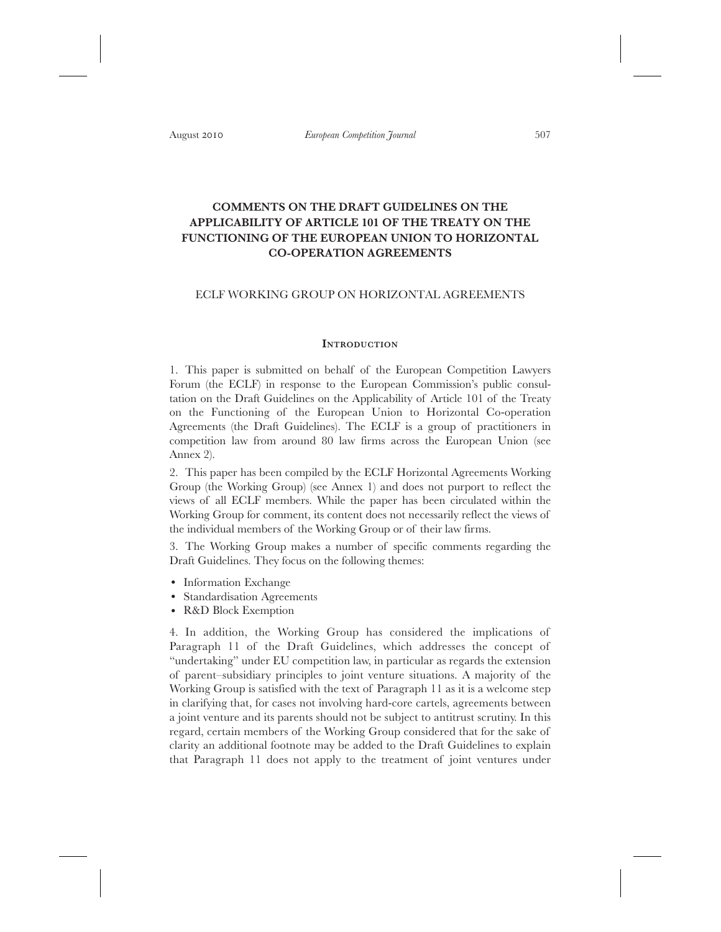# **COMMENTS ON THE DRAFT GUIDELINES ON THE APPLICABILITY OF ARTICLE 101 OF THE TREATY ON THE FUNCTIONING OF THE EUROPEAN UNION TO HORIZONTAL CO-OPERATION AGREEMENTS**

### ECLF WORKING GROUP ON HORIZONTAL AGREEMENTS

#### **INTRODUCTION**

1. This paper is submitted on behalf of the European Competition Lawyers Forum (the ECLF) in response to the European Commission's public consultation on the Draft Guidelines on the Applicability of Article 101 of the Treaty on the Functioning of the European Union to Horizontal Co-operation Agreements (the Draft Guidelines). The ECLF is a group of practitioners in competition law from around 80 law firms across the European Union (see Annex 2).

2. This paper has been compiled by the ECLF Horizontal Agreements Working Group (the Working Group) (see Annex 1) and does not purport to reflect the views of all ECLF members. While the paper has been circulated within the Working Group for comment, its content does not necessarily reflect the views of the individual members of the Working Group or of their law firms.

3. The Working Group makes a number of specific comments regarding the Draft Guidelines. They focus on the following themes:

- . Information Exchange
- . Standardisation Agreements
- . R&D Block Exemption

4. In addition, the Working Group has considered the implications of Paragraph 11 of the Draft Guidelines, which addresses the concept of "undertaking" under EU competition law, in particular as regards the extension of parent–subsidiary principles to joint venture situations. A majority of the Working Group is satisfied with the text of Paragraph 11 as it is a welcome step in clarifying that, for cases not involving hard-core cartels, agreements between a joint venture and its parents should not be subject to antitrust scrutiny. In this regard, certain members of the Working Group considered that for the sake of clarity an additional footnote may be added to the Draft Guidelines to explain that Paragraph 11 does not apply to the treatment of joint ventures under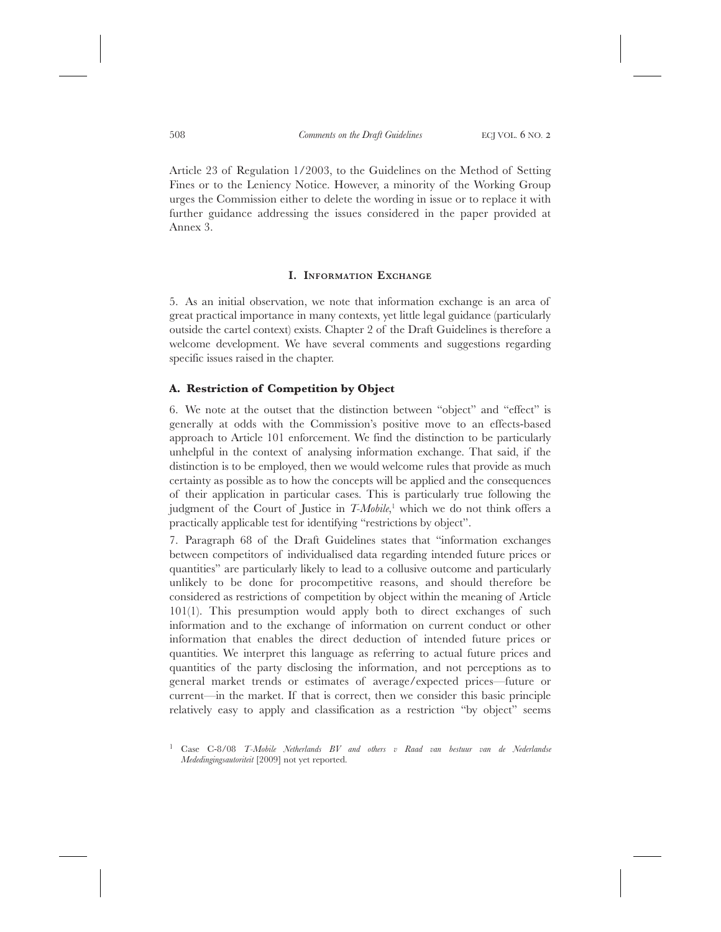Article 23 of Regulation 1/2003, to the Guidelines on the Method of Setting Fines or to the Leniency Notice. However, a minority of the Working Group urges the Commission either to delete the wording in issue or to replace it with further guidance addressing the issues considered in the paper provided at Annex 3.

### **I. INFORMATION EXCHANGE**

5. As an initial observation, we note that information exchange is an area of great practical importance in many contexts, yet little legal guidance (particularly outside the cartel context) exists. Chapter 2 of the Draft Guidelines is therefore a welcome development. We have several comments and suggestions regarding specific issues raised in the chapter.

### **A. Restriction of Competition by Object**

6. We note at the outset that the distinction between "object" and "effect" is generally at odds with the Commission's positive move to an effects-based approach to Article 101 enforcement. We find the distinction to be particularly unhelpful in the context of analysing information exchange. That said, if the distinction is to be employed, then we would welcome rules that provide as much certainty as possible as to how the concepts will be applied and the consequences of their application in particular cases. This is particularly true following the judgment of the Court of Justice in *T-Mobile*, <sup>1</sup> which we do not think offers a practically applicable test for identifying "restrictions by object".

7. Paragraph 68 of the Draft Guidelines states that "information exchanges between competitors of individualised data regarding intended future prices or quantities" are particularly likely to lead to a collusive outcome and particularly unlikely to be done for procompetitive reasons, and should therefore be considered as restrictions of competition by object within the meaning of Article 101(1). This presumption would apply both to direct exchanges of such information and to the exchange of information on current conduct or other information that enables the direct deduction of intended future prices or quantities. We interpret this language as referring to actual future prices and quantities of the party disclosing the information, and not perceptions as to general market trends or estimates of average/expected prices—future or current—in the market. If that is correct, then we consider this basic principle relatively easy to apply and classification as a restriction "by object" seems

<sup>1</sup> Case C-8/08 *T-Mobile Netherlands BV and others v Raad van bestuur van de Nederlandse Mededingingsautoriteit* [2009] not yet reported.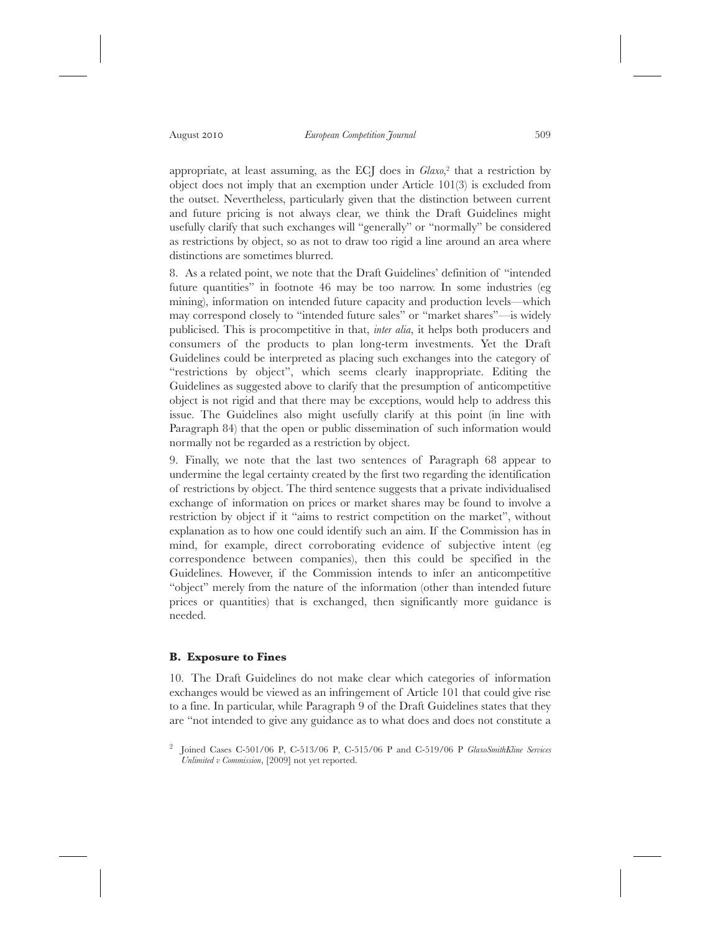appropriate, at least assuming, as the ECJ does in *Glaxo*, <sup>2</sup> that a restriction by object does not imply that an exemption under Article 101(3) is excluded from the outset. Nevertheless, particularly given that the distinction between current and future pricing is not always clear, we think the Draft Guidelines might usefully clarify that such exchanges will "generally" or "normally" be considered as restrictions by object, so as not to draw too rigid a line around an area where distinctions are sometimes blurred.

8. As a related point, we note that the Draft Guidelines' definition of "intended future quantities" in footnote 46 may be too narrow. In some industries (eg mining), information on intended future capacity and production levels—which may correspond closely to "intended future sales" or "market shares"—is widely publicised. This is procompetitive in that, *inter alia*, it helps both producers and consumers of the products to plan long-term investments. Yet the Draft Guidelines could be interpreted as placing such exchanges into the category of "restrictions by object", which seems clearly inappropriate. Editing the Guidelines as suggested above to clarify that the presumption of anticompetitive object is not rigid and that there may be exceptions, would help to address this issue. The Guidelines also might usefully clarify at this point (in line with Paragraph 84) that the open or public dissemination of such information would normally not be regarded as a restriction by object.

9. Finally, we note that the last two sentences of Paragraph 68 appear to undermine the legal certainty created by the first two regarding the identification of restrictions by object. The third sentence suggests that a private individualised exchange of information on prices or market shares may be found to involve a restriction by object if it "aims to restrict competition on the market", without explanation as to how one could identify such an aim. If the Commission has in mind, for example, direct corroborating evidence of subjective intent (eg correspondence between companies), then this could be specified in the Guidelines. However, if the Commission intends to infer an anticompetitive "object" merely from the nature of the information (other than intended future prices or quantities) that is exchanged, then significantly more guidance is needed.

### **B. Exposure to Fines**

10. The Draft Guidelines do not make clear which categories of information exchanges would be viewed as an infringement of Article 101 that could give rise to a fine. In particular, while Paragraph 9 of the Draft Guidelines states that they are "not intended to give any guidance as to what does and does not constitute a

<sup>2</sup> Joined Cases C-501/06 P, C-513/06 P, C-515/06 P and C-519/06 P *GlaxoSmithKline Services Unlimited v Commission*, [2009] not yet reported.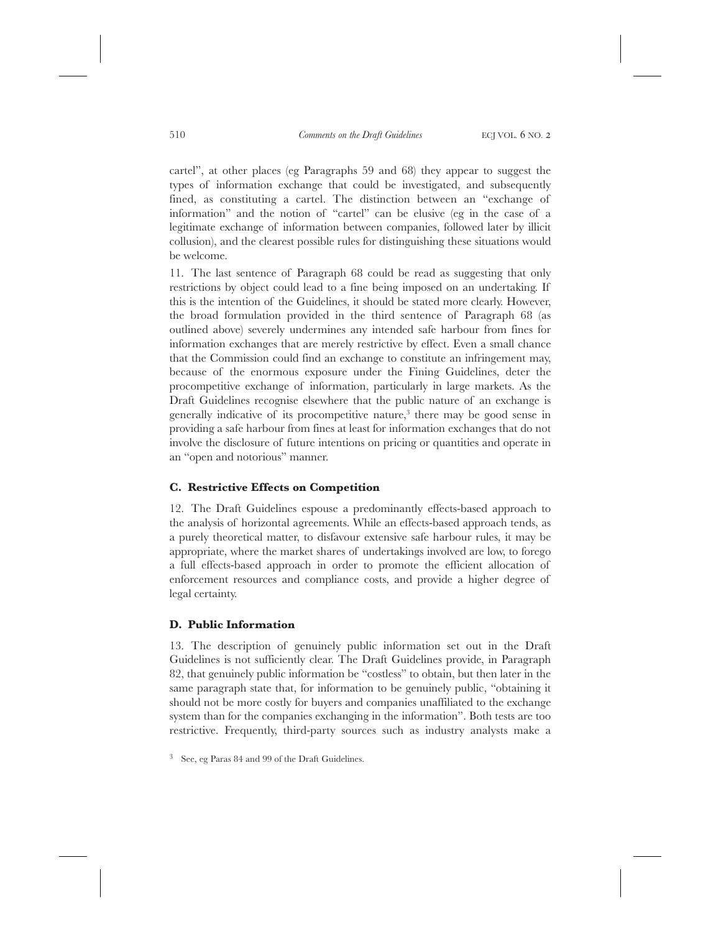cartel", at other places (eg Paragraphs 59 and 68) they appear to suggest the types of information exchange that could be investigated, and subsequently fined, as constituting a cartel. The distinction between an "exchange of information" and the notion of "cartel" can be elusive (eg in the case of a legitimate exchange of information between companies, followed later by illicit collusion), and the clearest possible rules for distinguishing these situations would be welcome.

11. The last sentence of Paragraph 68 could be read as suggesting that only restrictions by object could lead to a fine being imposed on an undertaking. If this is the intention of the Guidelines, it should be stated more clearly. However, the broad formulation provided in the third sentence of Paragraph 68 (as outlined above) severely undermines any intended safe harbour from fines for information exchanges that are merely restrictive by effect. Even a small chance that the Commission could find an exchange to constitute an infringement may, because of the enormous exposure under the Fining Guidelines, deter the procompetitive exchange of information, particularly in large markets. As the Draft Guidelines recognise elsewhere that the public nature of an exchange is generally indicative of its procompetitive nature,<sup>3</sup> there may be good sense in providing a safe harbour from fines at least for information exchanges that do not involve the disclosure of future intentions on pricing or quantities and operate in an "open and notorious" manner.

# **C. Restrictive Effects on Competition**

12. The Draft Guidelines espouse a predominantly effects-based approach to the analysis of horizontal agreements. While an effects-based approach tends, as a purely theoretical matter, to disfavour extensive safe harbour rules, it may be appropriate, where the market shares of undertakings involved are low, to forego a full effects-based approach in order to promote the efficient allocation of enforcement resources and compliance costs, and provide a higher degree of legal certainty.

### **D. Public Information**

13. The description of genuinely public information set out in the Draft Guidelines is not sufficiently clear. The Draft Guidelines provide, in Paragraph 82, that genuinely public information be "costless" to obtain, but then later in the same paragraph state that, for information to be genuinely public, "obtaining it should not be more costly for buyers and companies unaffiliated to the exchange system than for the companies exchanging in the information". Both tests are too restrictive. Frequently, third-party sources such as industry analysts make a

<sup>3</sup> See, eg Paras 84 and 99 of the Draft Guidelines.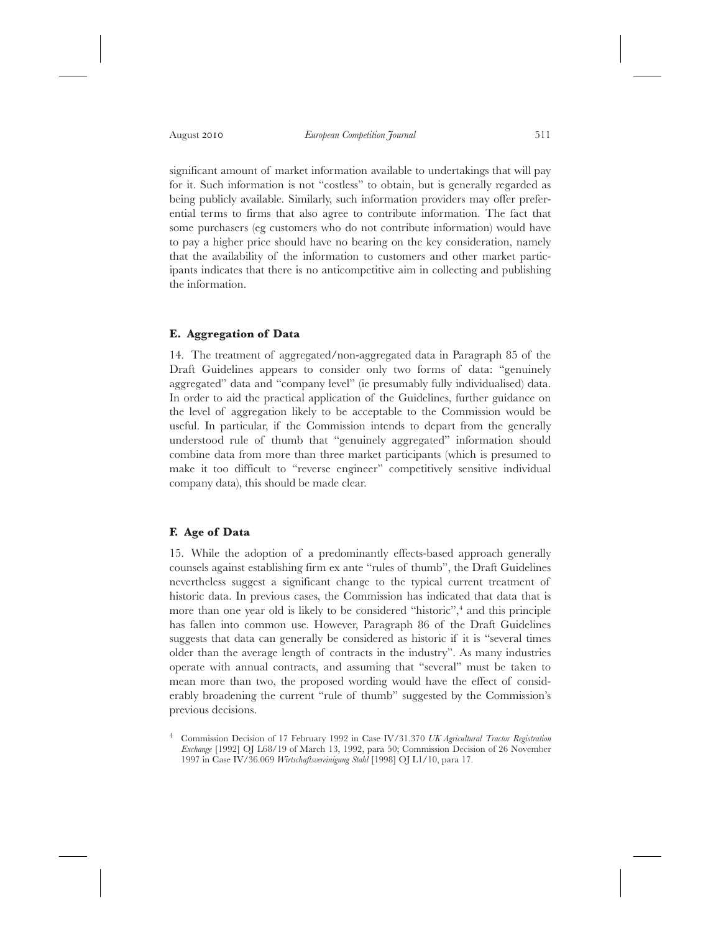significant amount of market information available to undertakings that will pay for it. Such information is not "costless" to obtain, but is generally regarded as being publicly available. Similarly, such information providers may offer preferential terms to firms that also agree to contribute information. The fact that some purchasers (eg customers who do not contribute information) would have to pay a higher price should have no bearing on the key consideration, namely that the availability of the information to customers and other market participants indicates that there is no anticompetitive aim in collecting and publishing the information.

# **E. Aggregation of Data**

14. The treatment of aggregated/non-aggregated data in Paragraph 85 of the Draft Guidelines appears to consider only two forms of data: "genuinely aggregated" data and "company level" (ie presumably fully individualised) data. In order to aid the practical application of the Guidelines, further guidance on the level of aggregation likely to be acceptable to the Commission would be useful. In particular, if the Commission intends to depart from the generally understood rule of thumb that "genuinely aggregated" information should combine data from more than three market participants (which is presumed to make it too difficult to "reverse engineer" competitively sensitive individual company data), this should be made clear.

# **F. Age of Data**

15. While the adoption of a predominantly effects-based approach generally counsels against establishing firm ex ante "rules of thumb", the Draft Guidelines nevertheless suggest a significant change to the typical current treatment of historic data. In previous cases, the Commission has indicated that data that is more than one year old is likely to be considered "historic",<sup>4</sup> and this principle has fallen into common use. However, Paragraph 86 of the Draft Guidelines suggests that data can generally be considered as historic if it is "several times older than the average length of contracts in the industry". As many industries operate with annual contracts, and assuming that "several" must be taken to mean more than two, the proposed wording would have the effect of considerably broadening the current "rule of thumb" suggested by the Commission's previous decisions.

<sup>4</sup> Commission Decision of 17 February 1992 in Case IV/31.370 *UK Agricultural Tractor Registration Exchange* [1992] OJ L68/19 of March 13, 1992, para 50; Commission Decision of 26 November 1997 in Case IV/36.069 *Wirtschaftsvereinigung Stahl* [1998] OJ L1/10, para 17.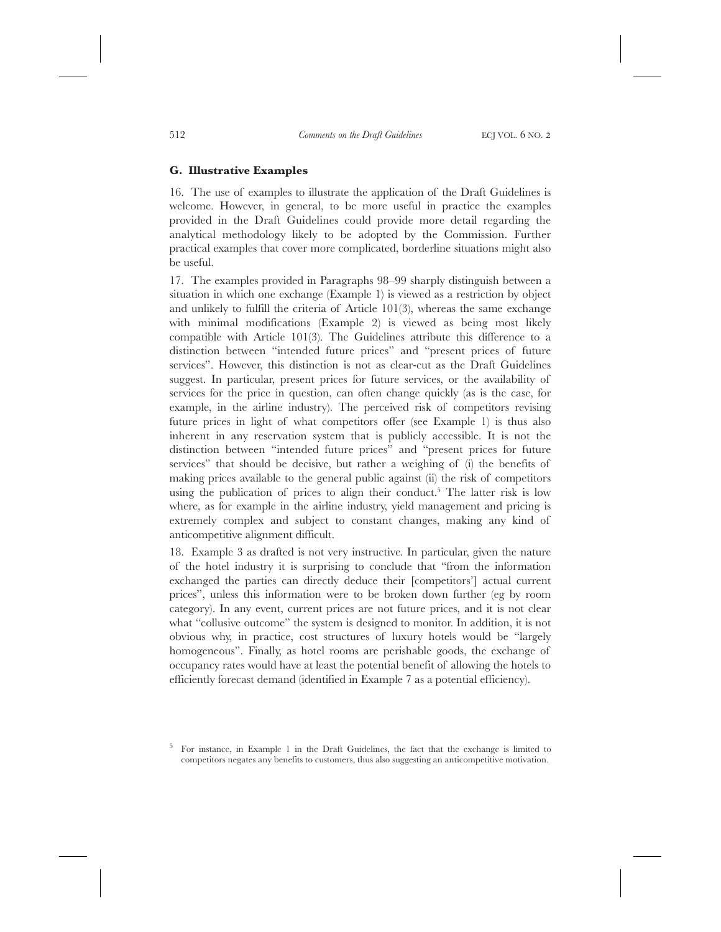### **G. Illustrative Examples**

16. The use of examples to illustrate the application of the Draft Guidelines is welcome. However, in general, to be more useful in practice the examples provided in the Draft Guidelines could provide more detail regarding the analytical methodology likely to be adopted by the Commission. Further practical examples that cover more complicated, borderline situations might also be useful.

17. The examples provided in Paragraphs 98–99 sharply distinguish between a situation in which one exchange (Example 1) is viewed as a restriction by object and unlikely to fulfill the criteria of Article 101(3), whereas the same exchange with minimal modifications (Example 2) is viewed as being most likely compatible with Article 101(3). The Guidelines attribute this difference to a distinction between "intended future prices" and "present prices of future services". However, this distinction is not as clear-cut as the Draft Guidelines suggest. In particular, present prices for future services, or the availability of services for the price in question, can often change quickly (as is the case, for example, in the airline industry). The perceived risk of competitors revising future prices in light of what competitors offer (see Example 1) is thus also inherent in any reservation system that is publicly accessible. It is not the distinction between "intended future prices" and "present prices for future services" that should be decisive, but rather a weighing of (i) the benefits of making prices available to the general public against (ii) the risk of competitors using the publication of prices to align their conduct.<sup>5</sup> The latter risk is low where, as for example in the airline industry, yield management and pricing is extremely complex and subject to constant changes, making any kind of anticompetitive alignment difficult.

18. Example 3 as drafted is not very instructive. In particular, given the nature of the hotel industry it is surprising to conclude that "from the information exchanged the parties can directly deduce their [competitors'] actual current prices", unless this information were to be broken down further (eg by room category). In any event, current prices are not future prices, and it is not clear what "collusive outcome" the system is designed to monitor. In addition, it is not obvious why, in practice, cost structures of luxury hotels would be "largely homogeneous". Finally, as hotel rooms are perishable goods, the exchange of occupancy rates would have at least the potential benefit of allowing the hotels to efficiently forecast demand (identified in Example 7 as a potential efficiency).

<sup>5</sup> For instance, in Example 1 in the Draft Guidelines, the fact that the exchange is limited to competitors negates any benefits to customers, thus also suggesting an anticompetitive motivation.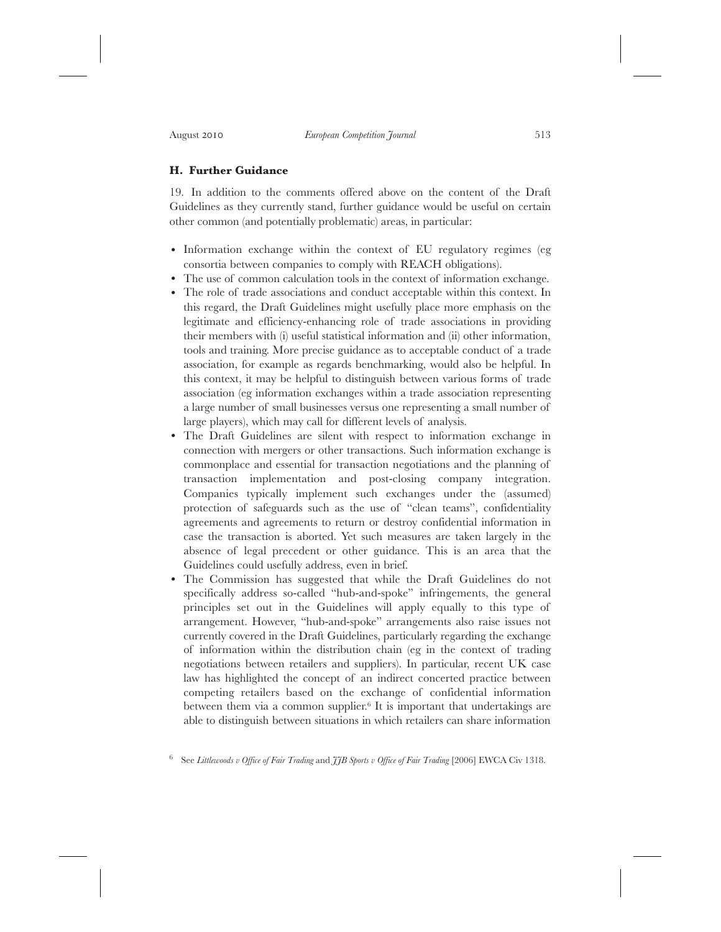# **H. Further Guidance**

19. In addition to the comments offered above on the content of the Draft Guidelines as they currently stand, further guidance would be useful on certain other common (and potentially problematic) areas, in particular:

- . Information exchange within the context of EU regulatory regimes (eg consortia between companies to comply with REACH obligations).
- consortia between companies to comply with REACH obligations).<br>• The use of common calculation tools in the context of information exchange.
- The use of common calculation tools in the context of information exchange.<br>- The role of trade associations and conduct acceptable within this context. In this regard, the Draft Guidelines might usefully place more emphasis on the legitimate and efficiency-enhancing role of trade associations in providing their members with (i) useful statistical information and (ii) other information, tools and training. More precise guidance as to acceptable conduct of a trade association, for example as regards benchmarking, would also be helpful. In this context, it may be helpful to distinguish between various forms of trade association (eg information exchanges within a trade association representing a large number of small businesses versus one representing a small number of large players), which may call for different levels of analysis.
- . The Draft Guidelines are silent with respect to information exchange in connection with mergers or other transactions. Such information exchange is commonplace and essential for transaction negotiations and the planning of transaction implementation and post-closing company integration. Companies typically implement such exchanges under the (assumed) protection of safeguards such as the use of "clean teams", confidentiality agreements and agreements to return or destroy confidential information in case the transaction is aborted. Yet such measures are taken largely in the absence of legal precedent or other guidance. This is an area that the Guidelines could usefully address, even in brief.
- . The Commission has suggested that while the Draft Guidelines do not specifically address so-called "hub-and-spoke" infringements, the general principles set out in the Guidelines will apply equally to this type of arrangement. However, "hub-and-spoke" arrangements also raise issues not currently covered in the Draft Guidelines, particularly regarding the exchange of information within the distribution chain (eg in the context of trading negotiations between retailers and suppliers). In particular, recent UK case law has highlighted the concept of an indirect concerted practice between competing retailers based on the exchange of confidential information between them via a common supplier.<sup>6</sup> It is important that undertakings are able to distinguish between situations in which retailers can share information

<sup>6</sup> See *Littlewoods v Office of Fair Trading* and *JJB Sports v Office of Fair Trading* [2006] EWCA Civ 1318.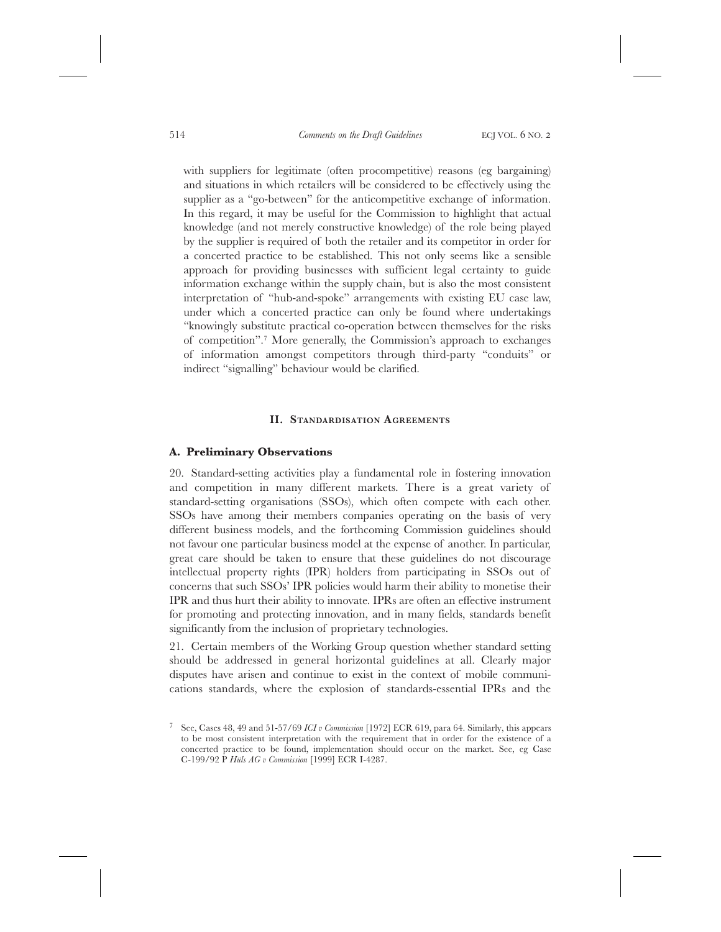with suppliers for legitimate (often procompetitive) reasons (eg bargaining) and situations in which retailers will be considered to be effectively using the supplier as a "go-between" for the anticompetitive exchange of information. In this regard, it may be useful for the Commission to highlight that actual knowledge (and not merely constructive knowledge) of the role being played by the supplier is required of both the retailer and its competitor in order for a concerted practice to be established. This not only seems like a sensible approach for providing businesses with sufficient legal certainty to guide information exchange within the supply chain, but is also the most consistent interpretation of "hub-and-spoke" arrangements with existing EU case law, under which a concerted practice can only be found where undertakings "knowingly substitute practical co-operation between themselves for the risks of competition".7 More generally, the Commission's approach to exchanges of information amongst competitors through third-party "conduits" or indirect "signalling" behaviour would be clarified.

#### **II. STANDARDISATION AGREEMENTS**

#### **A. Preliminary Observations**

20. Standard-setting activities play a fundamental role in fostering innovation and competition in many different markets. There is a great variety of standard-setting organisations (SSOs), which often compete with each other. SSOs have among their members companies operating on the basis of very different business models, and the forthcoming Commission guidelines should not favour one particular business model at the expense of another. In particular, great care should be taken to ensure that these guidelines do not discourage intellectual property rights (IPR) holders from participating in SSOs out of concerns that such SSOs' IPR policies would harm their ability to monetise their IPR and thus hurt their ability to innovate. IPRs are often an effective instrument for promoting and protecting innovation, and in many fields, standards benefit significantly from the inclusion of proprietary technologies.

21. Certain members of the Working Group question whether standard setting should be addressed in general horizontal guidelines at all. Clearly major disputes have arisen and continue to exist in the context of mobile communications standards, where the explosion of standards-essential IPRs and the

<sup>7</sup> See, Cases 48, 49 and 51-57/69 *ICI v Commission* [1972] ECR 619, para 64. Similarly, this appears to be most consistent interpretation with the requirement that in order for the existence of a concerted practice to be found, implementation should occur on the market. See, eg Case C-199/92 P *Hüls AG v Commission* [1999] ECR I-4287.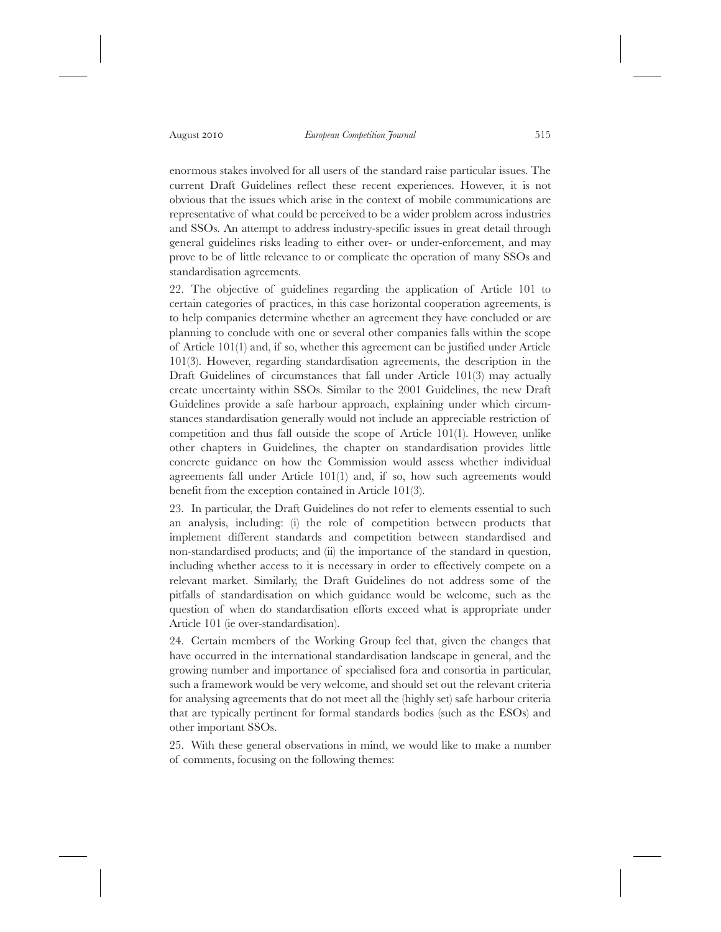enormous stakes involved for all users of the standard raise particular issues. The current Draft Guidelines reflect these recent experiences. However, it is not obvious that the issues which arise in the context of mobile communications are representative of what could be perceived to be a wider problem across industries and SSOs. An attempt to address industry-specific issues in great detail through general guidelines risks leading to either over- or under-enforcement, and may prove to be of little relevance to or complicate the operation of many SSOs and standardisation agreements.

22. The objective of guidelines regarding the application of Article 101 to certain categories of practices, in this case horizontal cooperation agreements, is to help companies determine whether an agreement they have concluded or are planning to conclude with one or several other companies falls within the scope of Article 101(1) and, if so, whether this agreement can be justified under Article 101(3). However, regarding standardisation agreements, the description in the Draft Guidelines of circumstances that fall under Article 101(3) may actually create uncertainty within SSOs. Similar to the 2001 Guidelines, the new Draft Guidelines provide a safe harbour approach, explaining under which circumstances standardisation generally would not include an appreciable restriction of competition and thus fall outside the scope of Article 101(1). However, unlike other chapters in Guidelines, the chapter on standardisation provides little concrete guidance on how the Commission would assess whether individual agreements fall under Article 101(1) and, if so, how such agreements would benefit from the exception contained in Article 101(3).

23. In particular, the Draft Guidelines do not refer to elements essential to such an analysis, including: (i) the role of competition between products that implement different standards and competition between standardised and non-standardised products; and (ii) the importance of the standard in question, including whether access to it is necessary in order to effectively compete on a relevant market. Similarly, the Draft Guidelines do not address some of the pitfalls of standardisation on which guidance would be welcome, such as the question of when do standardisation efforts exceed what is appropriate under Article 101 (ie over-standardisation).

24. Certain members of the Working Group feel that, given the changes that have occurred in the international standardisation landscape in general, and the growing number and importance of specialised fora and consortia in particular, such a framework would be very welcome, and should set out the relevant criteria for analysing agreements that do not meet all the (highly set) safe harbour criteria that are typically pertinent for formal standards bodies (such as the ESOs) and other important SSOs.

25. With these general observations in mind, we would like to make a number of comments, focusing on the following themes: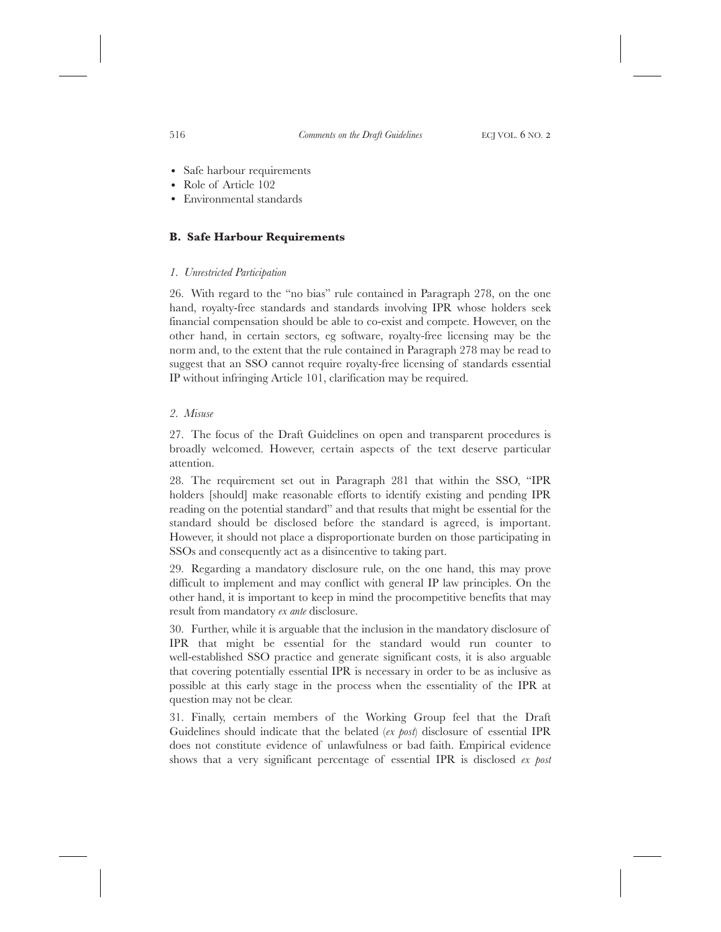- . Safe harbour requirements
- . Role of Article 102
- . Environmental standards

# **B. Safe Harbour Requirements**

# *1. Unrestricted Participation*

26. With regard to the "no bias" rule contained in Paragraph 278, on the one hand, royalty-free standards and standards involving IPR whose holders seek financial compensation should be able to co-exist and compete. However, on the other hand, in certain sectors, eg software, royalty-free licensing may be the norm and, to the extent that the rule contained in Paragraph 278 may be read to suggest that an SSO cannot require royalty-free licensing of standards essential IP without infringing Article 101, clarification may be required.

# *2. Misuse*

27. The focus of the Draft Guidelines on open and transparent procedures is broadly welcomed. However, certain aspects of the text deserve particular attention.

28. The requirement set out in Paragraph 281 that within the SSO, "IPR holders [should] make reasonable efforts to identify existing and pending IPR reading on the potential standard" and that results that might be essential for the standard should be disclosed before the standard is agreed, is important. However, it should not place a disproportionate burden on those participating in SSOs and consequently act as a disincentive to taking part.

29. Regarding a mandatory disclosure rule, on the one hand, this may prove difficult to implement and may conflict with general IP law principles. On the other hand, it is important to keep in mind the procompetitive benefits that may result from mandatory *ex ante* disclosure.

30. Further, while it is arguable that the inclusion in the mandatory disclosure of IPR that might be essential for the standard would run counter to well-established SSO practice and generate significant costs, it is also arguable that covering potentially essential IPR is necessary in order to be as inclusive as possible at this early stage in the process when the essentiality of the IPR at question may not be clear.

31. Finally, certain members of the Working Group feel that the Draft Guidelines should indicate that the belated (*ex post*) disclosure of essential IPR does not constitute evidence of unlawfulness or bad faith. Empirical evidence shows that a very significant percentage of essential IPR is disclosed *ex post*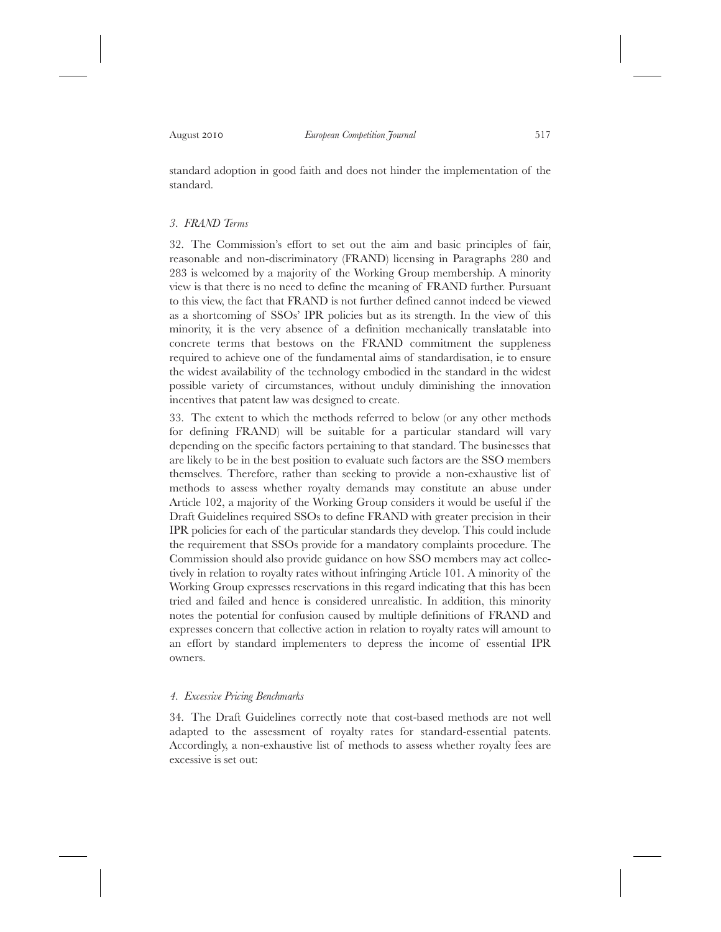standard adoption in good faith and does not hinder the implementation of the standard.

# *3. FRAND Terms*

32. The Commission's effort to set out the aim and basic principles of fair, reasonable and non-discriminatory (FRAND) licensing in Paragraphs 280 and 283 is welcomed by a majority of the Working Group membership. A minority view is that there is no need to define the meaning of FRAND further. Pursuant to this view, the fact that FRAND is not further defined cannot indeed be viewed as a shortcoming of SSOs' IPR policies but as its strength. In the view of this minority, it is the very absence of a definition mechanically translatable into concrete terms that bestows on the FRAND commitment the suppleness required to achieve one of the fundamental aims of standardisation, ie to ensure the widest availability of the technology embodied in the standard in the widest possible variety of circumstances, without unduly diminishing the innovation incentives that patent law was designed to create.

33. The extent to which the methods referred to below (or any other methods for defining FRAND) will be suitable for a particular standard will vary depending on the specific factors pertaining to that standard. The businesses that are likely to be in the best position to evaluate such factors are the SSO members themselves. Therefore, rather than seeking to provide a non-exhaustive list of methods to assess whether royalty demands may constitute an abuse under Article 102, a majority of the Working Group considers it would be useful if the Draft Guidelines required SSOs to define FRAND with greater precision in their IPR policies for each of the particular standards they develop. This could include the requirement that SSOs provide for a mandatory complaints procedure. The Commission should also provide guidance on how SSO members may act collectively in relation to royalty rates without infringing Article 101. A minority of the Working Group expresses reservations in this regard indicating that this has been tried and failed and hence is considered unrealistic. In addition, this minority notes the potential for confusion caused by multiple definitions of FRAND and expresses concern that collective action in relation to royalty rates will amount to an effort by standard implementers to depress the income of essential IPR owners.

# *4. Excessive Pricing Benchmarks*

34. The Draft Guidelines correctly note that cost-based methods are not well adapted to the assessment of royalty rates for standard-essential patents. Accordingly, a non-exhaustive list of methods to assess whether royalty fees are excessive is set out: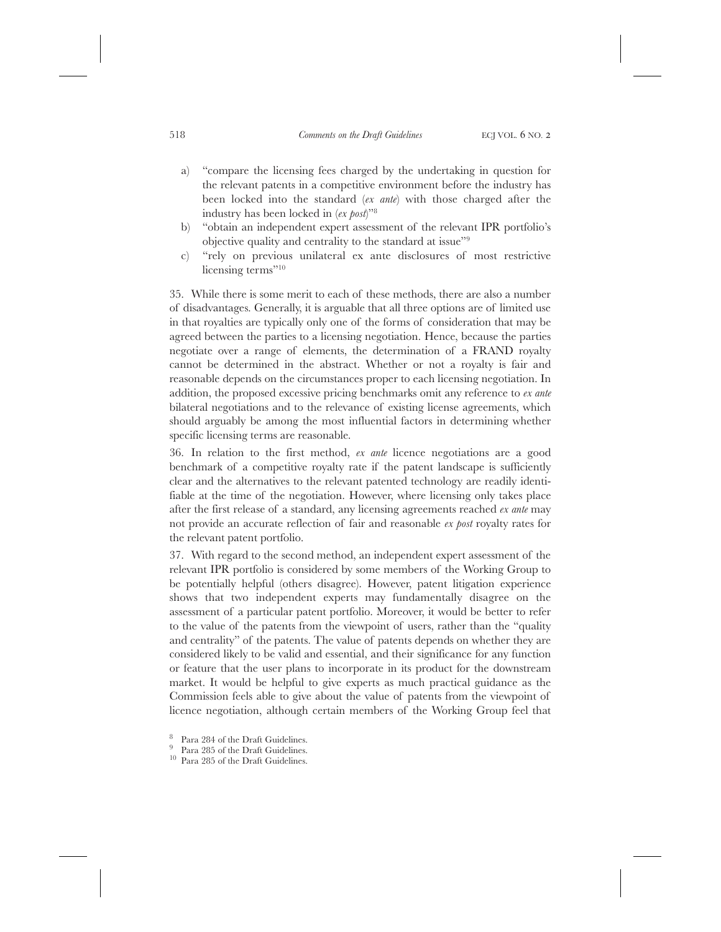- a) "compare the licensing fees charged by the undertaking in question for the relevant patents in a competitive environment before the industry has been locked into the standard (*ex ante*) with those charged after the industry has been locked in (*ex post*)"8
- b) "obtain an independent expert assessment of the relevant IPR portfolio's objective quality and centrality to the standard at issue"9
- c) "rely on previous unilateral ex ante disclosures of most restrictive licensing terms"<sup>10</sup>

35. While there is some merit to each of these methods, there are also a number of disadvantages. Generally, it is arguable that all three options are of limited use in that royalties are typically only one of the forms of consideration that may be agreed between the parties to a licensing negotiation. Hence, because the parties negotiate over a range of elements, the determination of a FRAND royalty cannot be determined in the abstract. Whether or not a royalty is fair and reasonable depends on the circumstances proper to each licensing negotiation. In addition, the proposed excessive pricing benchmarks omit any reference to *ex ante* bilateral negotiations and to the relevance of existing license agreements, which should arguably be among the most influential factors in determining whether specific licensing terms are reasonable.

36. In relation to the first method, *ex ante* licence negotiations are a good benchmark of a competitive royalty rate if the patent landscape is sufficiently clear and the alternatives to the relevant patented technology are readily identifiable at the time of the negotiation. However, where licensing only takes place after the first release of a standard, any licensing agreements reached *ex ante* may not provide an accurate reflection of fair and reasonable *ex post* royalty rates for the relevant patent portfolio.

37. With regard to the second method, an independent expert assessment of the relevant IPR portfolio is considered by some members of the Working Group to be potentially helpful (others disagree). However, patent litigation experience shows that two independent experts may fundamentally disagree on the assessment of a particular patent portfolio. Moreover, it would be better to refer to the value of the patents from the viewpoint of users, rather than the "quality and centrality" of the patents. The value of patents depends on whether they are considered likely to be valid and essential, and their significance for any function or feature that the user plans to incorporate in its product for the downstream market. It would be helpful to give experts as much practical guidance as the Commission feels able to give about the value of patents from the viewpoint of licence negotiation, although certain members of the Working Group feel that

<sup>&</sup>lt;sup>8</sup> Para 284 of the Draft Guidelines.<br><sup>9</sup> Para 285 of the Draft Guidelines.<br><sup>10</sup> Para 285 of the Draft Guidelines.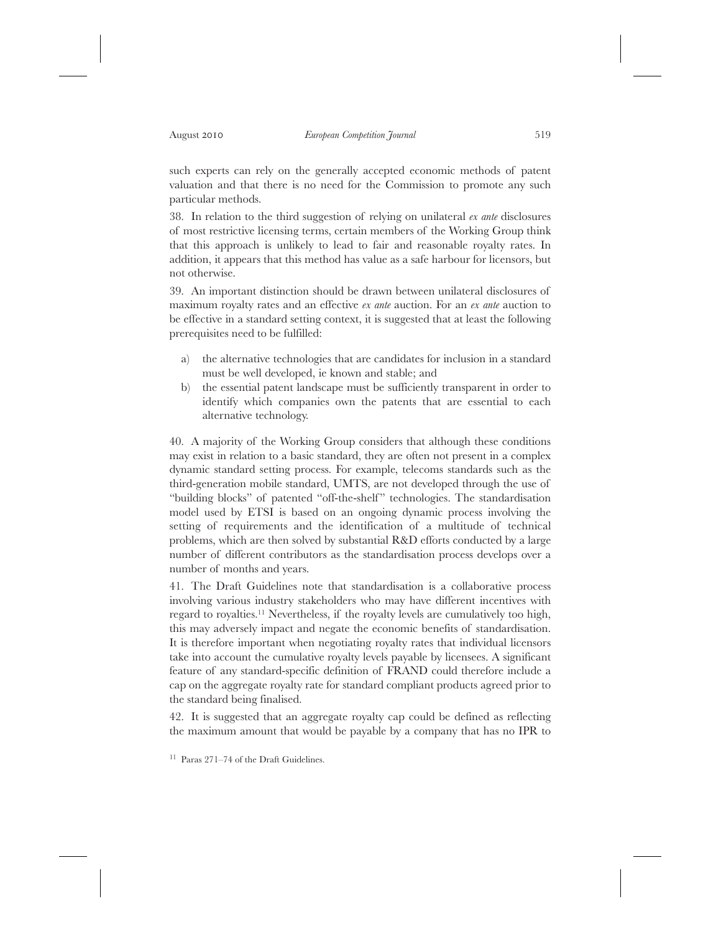such experts can rely on the generally accepted economic methods of patent valuation and that there is no need for the Commission to promote any such particular methods.

38. In relation to the third suggestion of relying on unilateral *ex ante* disclosures of most restrictive licensing terms, certain members of the Working Group think that this approach is unlikely to lead to fair and reasonable royalty rates. In addition, it appears that this method has value as a safe harbour for licensors, but not otherwise.

39. An important distinction should be drawn between unilateral disclosures of maximum royalty rates and an effective *ex ante* auction. For an *ex ante* auction to be effective in a standard setting context, it is suggested that at least the following prerequisites need to be fulfilled:

- a) the alternative technologies that are candidates for inclusion in a standard must be well developed, ie known and stable; and
- b) the essential patent landscape must be sufficiently transparent in order to identify which companies own the patents that are essential to each alternative technology.

40. A majority of the Working Group considers that although these conditions may exist in relation to a basic standard, they are often not present in a complex dynamic standard setting process. For example, telecoms standards such as the third-generation mobile standard, UMTS, are not developed through the use of "building blocks" of patented "off-the-shelf " technologies. The standardisation model used by ETSI is based on an ongoing dynamic process involving the setting of requirements and the identification of a multitude of technical problems, which are then solved by substantial R&D efforts conducted by a large number of different contributors as the standardisation process develops over a number of months and years.

41. The Draft Guidelines note that standardisation is a collaborative process involving various industry stakeholders who may have different incentives with regard to royalties.11 Nevertheless, if the royalty levels are cumulatively too high, this may adversely impact and negate the economic benefits of standardisation. It is therefore important when negotiating royalty rates that individual licensors take into account the cumulative royalty levels payable by licensees. A significant feature of any standard-specific definition of FRAND could therefore include a cap on the aggregate royalty rate for standard compliant products agreed prior to the standard being finalised.

42. It is suggested that an aggregate royalty cap could be defined as reflecting the maximum amount that would be payable by a company that has no IPR to

<sup>11</sup> Paras 271–74 of the Draft Guidelines.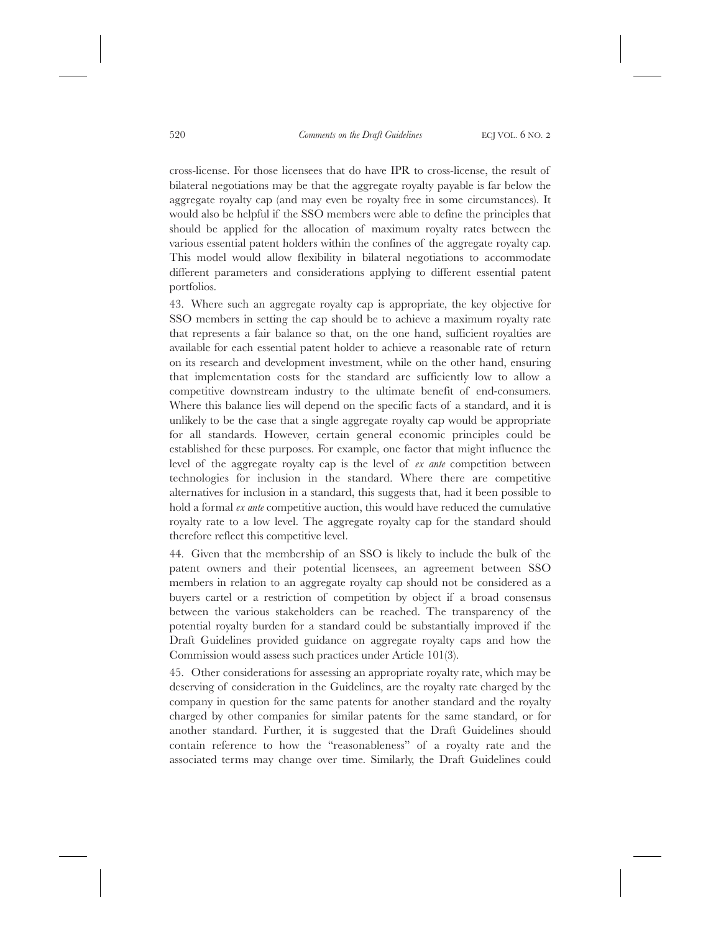cross-license. For those licensees that do have IPR to cross-license, the result of bilateral negotiations may be that the aggregate royalty payable is far below the aggregate royalty cap (and may even be royalty free in some circumstances). It would also be helpful if the SSO members were able to define the principles that should be applied for the allocation of maximum royalty rates between the various essential patent holders within the confines of the aggregate royalty cap. This model would allow flexibility in bilateral negotiations to accommodate different parameters and considerations applying to different essential patent portfolios.

43. Where such an aggregate royalty cap is appropriate, the key objective for SSO members in setting the cap should be to achieve a maximum royalty rate that represents a fair balance so that, on the one hand, sufficient royalties are available for each essential patent holder to achieve a reasonable rate of return on its research and development investment, while on the other hand, ensuring that implementation costs for the standard are sufficiently low to allow a competitive downstream industry to the ultimate benefit of end-consumers. Where this balance lies will depend on the specific facts of a standard, and it is unlikely to be the case that a single aggregate royalty cap would be appropriate for all standards. However, certain general economic principles could be established for these purposes. For example, one factor that might influence the level of the aggregate royalty cap is the level of *ex ante* competition between technologies for inclusion in the standard. Where there are competitive alternatives for inclusion in a standard, this suggests that, had it been possible to hold a formal *ex ante* competitive auction, this would have reduced the cumulative royalty rate to a low level. The aggregate royalty cap for the standard should therefore reflect this competitive level.

44. Given that the membership of an SSO is likely to include the bulk of the patent owners and their potential licensees, an agreement between SSO members in relation to an aggregate royalty cap should not be considered as a buyers cartel or a restriction of competition by object if a broad consensus between the various stakeholders can be reached. The transparency of the potential royalty burden for a standard could be substantially improved if the Draft Guidelines provided guidance on aggregate royalty caps and how the Commission would assess such practices under Article 101(3).

45. Other considerations for assessing an appropriate royalty rate, which may be deserving of consideration in the Guidelines, are the royalty rate charged by the company in question for the same patents for another standard and the royalty charged by other companies for similar patents for the same standard, or for another standard. Further, it is suggested that the Draft Guidelines should contain reference to how the "reasonableness" of a royalty rate and the associated terms may change over time. Similarly, the Draft Guidelines could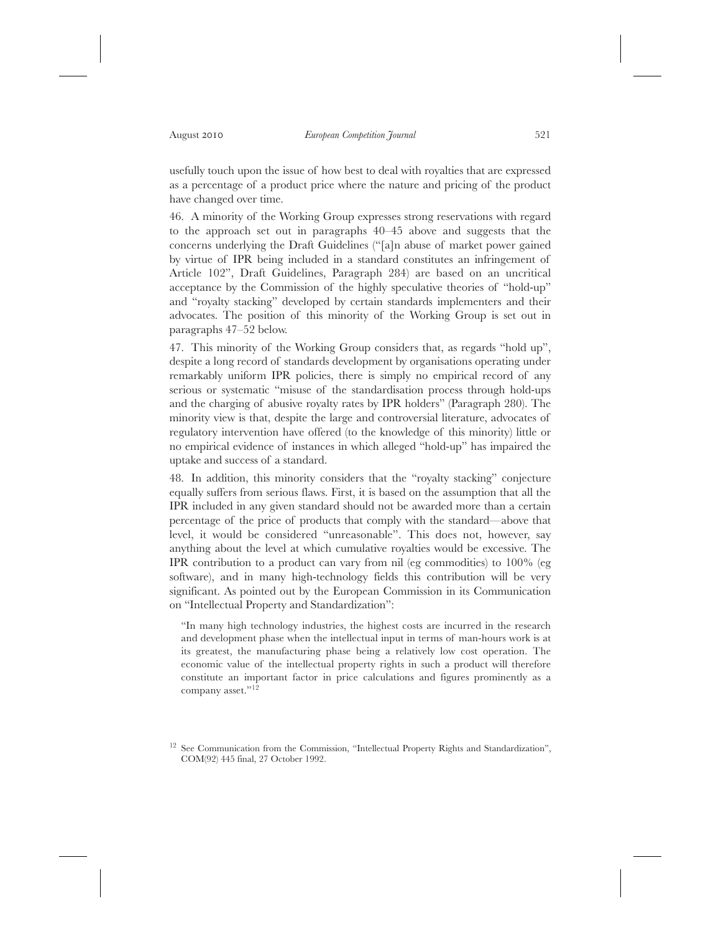usefully touch upon the issue of how best to deal with royalties that are expressed as a percentage of a product price where the nature and pricing of the product have changed over time.

46. A minority of the Working Group expresses strong reservations with regard to the approach set out in paragraphs 40–45 above and suggests that the concerns underlying the Draft Guidelines ("[a]n abuse of market power gained by virtue of IPR being included in a standard constitutes an infringement of Article 102", Draft Guidelines, Paragraph 284) are based on an uncritical acceptance by the Commission of the highly speculative theories of "hold-up" and "royalty stacking" developed by certain standards implementers and their advocates. The position of this minority of the Working Group is set out in paragraphs 47–52 below.

47. This minority of the Working Group considers that, as regards "hold up", despite a long record of standards development by organisations operating under remarkably uniform IPR policies, there is simply no empirical record of any serious or systematic "misuse of the standardisation process through hold-ups and the charging of abusive royalty rates by IPR holders" (Paragraph 280). The minority view is that, despite the large and controversial literature, advocates of regulatory intervention have offered (to the knowledge of this minority) little or no empirical evidence of instances in which alleged "hold-up" has impaired the uptake and success of a standard.

48. In addition, this minority considers that the "royalty stacking" conjecture equally suffers from serious flaws. First, it is based on the assumption that all the IPR included in any given standard should not be awarded more than a certain percentage of the price of products that comply with the standard—above that level, it would be considered "unreasonable". This does not, however, say anything about the level at which cumulative royalties would be excessive. The IPR contribution to a product can vary from nil (eg commodities) to 100% (eg software), and in many high-technology fields this contribution will be very significant. As pointed out by the European Commission in its Communication on "Intellectual Property and Standardization":

"In many high technology industries, the highest costs are incurred in the research and development phase when the intellectual input in terms of man-hours work is at its greatest, the manufacturing phase being a relatively low cost operation. The economic value of the intellectual property rights in such a product will therefore constitute an important factor in price calculations and figures prominently as a company asset."<sup>12</sup>

 $12$  See Communication from the Commission, "Intellectual Property Rights and Standardization", COM(92) 445 final, 27 October 1992.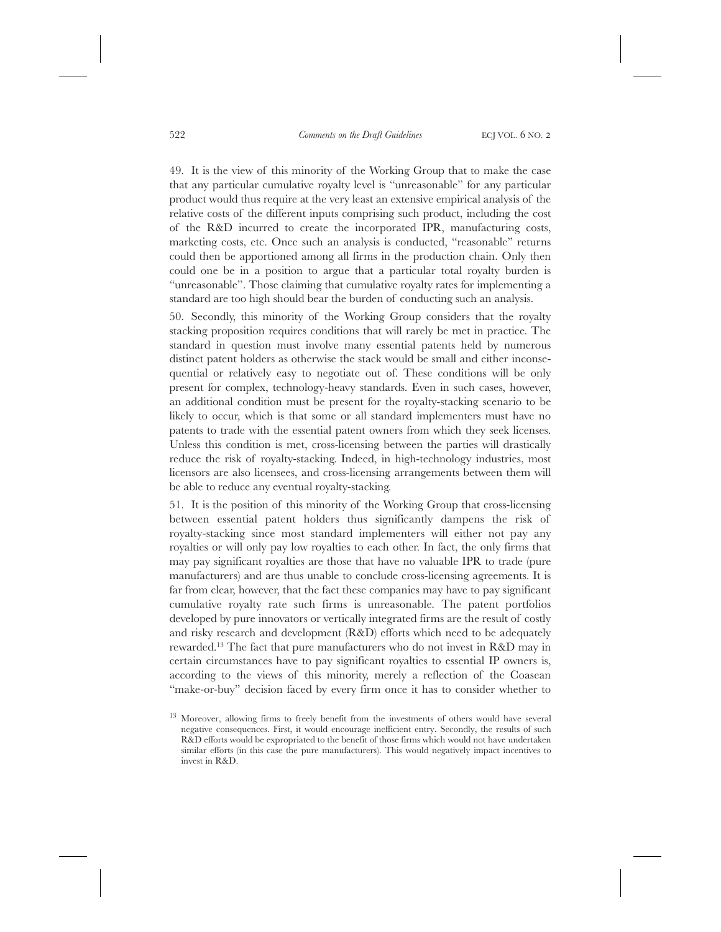49. It is the view of this minority of the Working Group that to make the case that any particular cumulative royalty level is "unreasonable" for any particular product would thus require at the very least an extensive empirical analysis of the relative costs of the different inputs comprising such product, including the cost of the R&D incurred to create the incorporated IPR, manufacturing costs, marketing costs, etc. Once such an analysis is conducted, "reasonable" returns could then be apportioned among all firms in the production chain. Only then could one be in a position to argue that a particular total royalty burden is "unreasonable". Those claiming that cumulative royalty rates for implementing a standard are too high should bear the burden of conducting such an analysis.

50. Secondly, this minority of the Working Group considers that the royalty stacking proposition requires conditions that will rarely be met in practice. The standard in question must involve many essential patents held by numerous distinct patent holders as otherwise the stack would be small and either inconsequential or relatively easy to negotiate out of. These conditions will be only present for complex, technology-heavy standards. Even in such cases, however, an additional condition must be present for the royalty-stacking scenario to be likely to occur, which is that some or all standard implementers must have no patents to trade with the essential patent owners from which they seek licenses. Unless this condition is met, cross-licensing between the parties will drastically reduce the risk of royalty-stacking. Indeed, in high-technology industries, most licensors are also licensees, and cross-licensing arrangements between them will be able to reduce any eventual royalty-stacking.

51. It is the position of this minority of the Working Group that cross-licensing between essential patent holders thus significantly dampens the risk of royalty-stacking since most standard implementers will either not pay any royalties or will only pay low royalties to each other. In fact, the only firms that may pay significant royalties are those that have no valuable IPR to trade (pure manufacturers) and are thus unable to conclude cross-licensing agreements. It is far from clear, however, that the fact these companies may have to pay significant cumulative royalty rate such firms is unreasonable. The patent portfolios developed by pure innovators or vertically integrated firms are the result of costly and risky research and development (R&D) efforts which need to be adequately rewarded.13 The fact that pure manufacturers who do not invest in R&D may in certain circumstances have to pay significant royalties to essential IP owners is, according to the views of this minority, merely a reflection of the Coasean "make-or-buy" decision faced by every firm once it has to consider whether to

<sup>&</sup>lt;sup>13</sup> Moreover, allowing firms to freely benefit from the investments of others would have several negative consequences. First, it would encourage inefficient entry. Secondly, the results of such R&D efforts would be expropriated to the benefit of those firms which would not have undertaken similar efforts (in this case the pure manufacturers). This would negatively impact incentives to invest in R&D.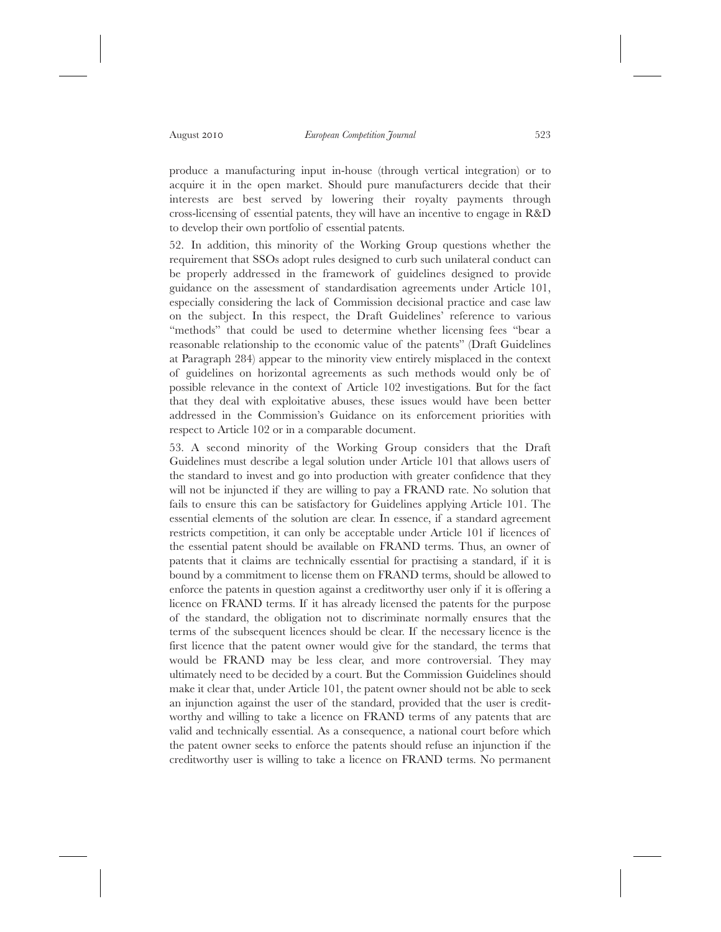produce a manufacturing input in-house (through vertical integration) or to acquire it in the open market. Should pure manufacturers decide that their interests are best served by lowering their royalty payments through cross-licensing of essential patents, they will have an incentive to engage in R&D to develop their own portfolio of essential patents.

52. In addition, this minority of the Working Group questions whether the requirement that SSOs adopt rules designed to curb such unilateral conduct can be properly addressed in the framework of guidelines designed to provide guidance on the assessment of standardisation agreements under Article 101, especially considering the lack of Commission decisional practice and case law on the subject. In this respect, the Draft Guidelines' reference to various "methods" that could be used to determine whether licensing fees "bear a reasonable relationship to the economic value of the patents" (Draft Guidelines at Paragraph 284) appear to the minority view entirely misplaced in the context of guidelines on horizontal agreements as such methods would only be of possible relevance in the context of Article 102 investigations. But for the fact that they deal with exploitative abuses, these issues would have been better addressed in the Commission's Guidance on its enforcement priorities with respect to Article 102 or in a comparable document.

53. A second minority of the Working Group considers that the Draft Guidelines must describe a legal solution under Article 101 that allows users of the standard to invest and go into production with greater confidence that they will not be injuncted if they are willing to pay a FRAND rate. No solution that fails to ensure this can be satisfactory for Guidelines applying Article 101. The essential elements of the solution are clear. In essence, if a standard agreement restricts competition, it can only be acceptable under Article 101 if licences of the essential patent should be available on FRAND terms. Thus, an owner of patents that it claims are technically essential for practising a standard, if it is bound by a commitment to license them on FRAND terms, should be allowed to enforce the patents in question against a creditworthy user only if it is offering a licence on FRAND terms. If it has already licensed the patents for the purpose of the standard, the obligation not to discriminate normally ensures that the terms of the subsequent licences should be clear. If the necessary licence is the first licence that the patent owner would give for the standard, the terms that would be FRAND may be less clear, and more controversial. They may ultimately need to be decided by a court. But the Commission Guidelines should make it clear that, under Article 101, the patent owner should not be able to seek an injunction against the user of the standard, provided that the user is creditworthy and willing to take a licence on FRAND terms of any patents that are valid and technically essential. As a consequence, a national court before which the patent owner seeks to enforce the patents should refuse an injunction if the creditworthy user is willing to take a licence on FRAND terms. No permanent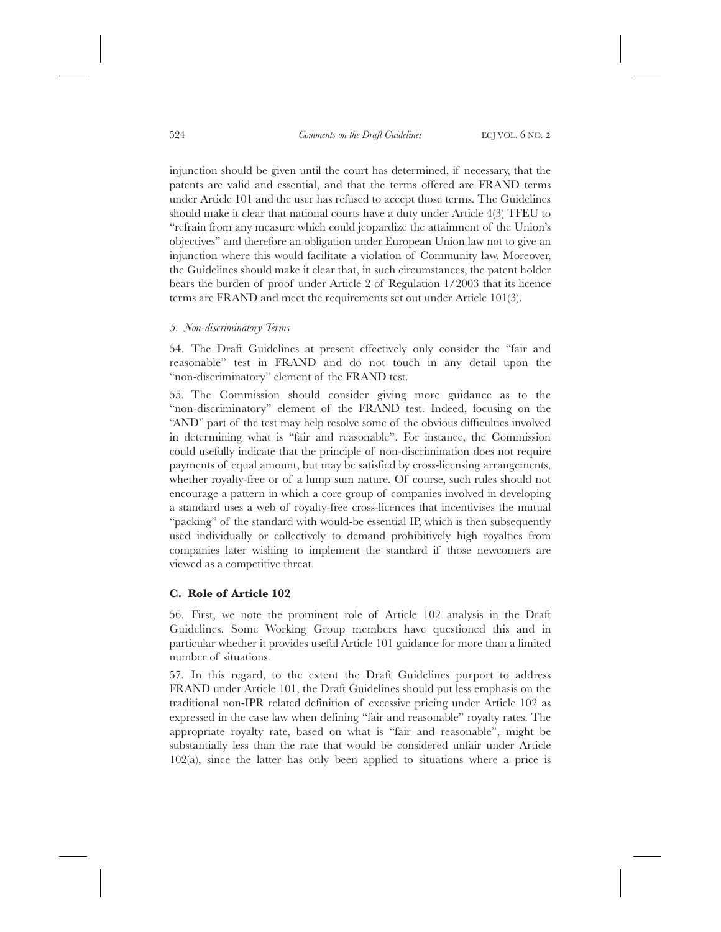injunction should be given until the court has determined, if necessary, that the patents are valid and essential, and that the terms offered are FRAND terms under Article 101 and the user has refused to accept those terms. The Guidelines should make it clear that national courts have a duty under Article 4(3) TFEU to "refrain from any measure which could jeopardize the attainment of the Union's objectives" and therefore an obligation under European Union law not to give an injunction where this would facilitate a violation of Community law. Moreover, the Guidelines should make it clear that, in such circumstances, the patent holder bears the burden of proof under Article 2 of Regulation 1/2003 that its licence terms are FRAND and meet the requirements set out under Article 101(3).

#### *5. Non-discriminatory Terms*

54. The Draft Guidelines at present effectively only consider the "fair and reasonable" test in FRAND and do not touch in any detail upon the "non-discriminatory" element of the FRAND test.

55. The Commission should consider giving more guidance as to the "non-discriminatory" element of the FRAND test. Indeed, focusing on the "AND" part of the test may help resolve some of the obvious difficulties involved in determining what is "fair and reasonable". For instance, the Commission could usefully indicate that the principle of non-discrimination does not require payments of equal amount, but may be satisfied by cross-licensing arrangements, whether royalty-free or of a lump sum nature. Of course, such rules should not encourage a pattern in which a core group of companies involved in developing a standard uses a web of royalty-free cross-licences that incentivises the mutual "packing" of the standard with would-be essential IP, which is then subsequently used individually or collectively to demand prohibitively high royalties from companies later wishing to implement the standard if those newcomers are viewed as a competitive threat.

### **C. Role of Article 102**

56. First, we note the prominent role of Article 102 analysis in the Draft Guidelines. Some Working Group members have questioned this and in particular whether it provides useful Article 101 guidance for more than a limited number of situations.

57. In this regard, to the extent the Draft Guidelines purport to address FRAND under Article 101, the Draft Guidelines should put less emphasis on the traditional non-IPR related definition of excessive pricing under Article 102 as expressed in the case law when defining "fair and reasonable" royalty rates. The appropriate royalty rate, based on what is "fair and reasonable", might be substantially less than the rate that would be considered unfair under Article 102(a), since the latter has only been applied to situations where a price is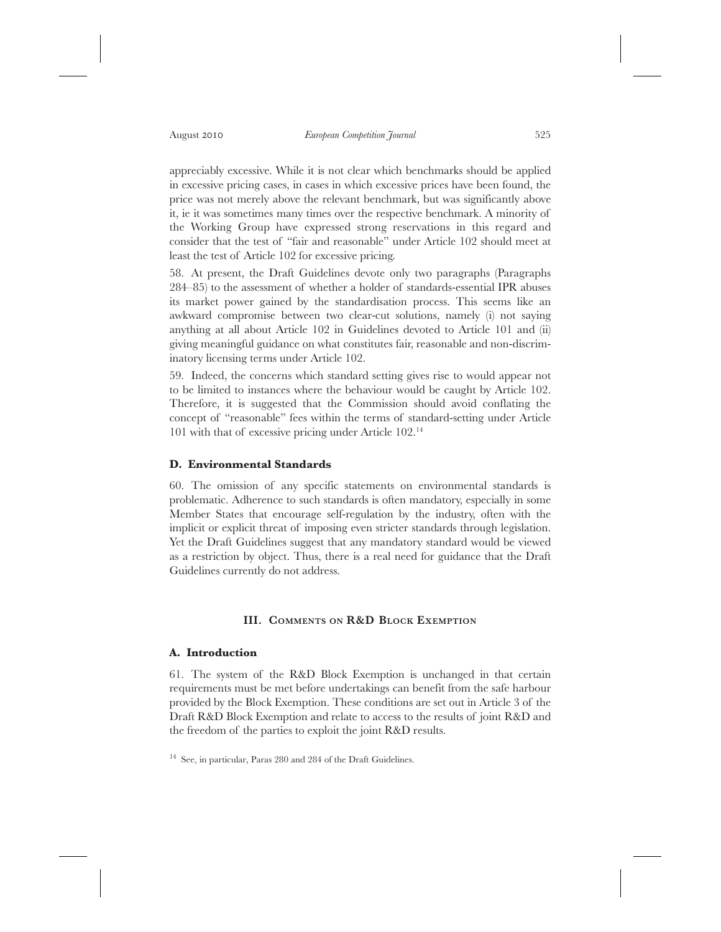appreciably excessive. While it is not clear which benchmarks should be applied in excessive pricing cases, in cases in which excessive prices have been found, the price was not merely above the relevant benchmark, but was significantly above it, ie it was sometimes many times over the respective benchmark. A minority of the Working Group have expressed strong reservations in this regard and consider that the test of "fair and reasonable" under Article 102 should meet at least the test of Article 102 for excessive pricing.

58. At present, the Draft Guidelines devote only two paragraphs (Paragraphs 284–85) to the assessment of whether a holder of standards-essential IPR abuses its market power gained by the standardisation process. This seems like an awkward compromise between two clear-cut solutions, namely (i) not saying anything at all about Article 102 in Guidelines devoted to Article 101 and (ii) giving meaningful guidance on what constitutes fair, reasonable and non-discriminatory licensing terms under Article 102.

59. Indeed, the concerns which standard setting gives rise to would appear not to be limited to instances where the behaviour would be caught by Article 102. Therefore, it is suggested that the Commission should avoid conflating the concept of "reasonable" fees within the terms of standard-setting under Article 101 with that of excessive pricing under Article 102.14

# **D. Environmental Standards**

60. The omission of any specific statements on environmental standards is problematic. Adherence to such standards is often mandatory, especially in some Member States that encourage self-regulation by the industry, often with the implicit or explicit threat of imposing even stricter standards through legislation. Yet the Draft Guidelines suggest that any mandatory standard would be viewed as a restriction by object. Thus, there is a real need for guidance that the Draft Guidelines currently do not address.

### **III. COMMENTS ON R&D BLOCK EXEMPTION**

# **A. Introduction**

61. The system of the R&D Block Exemption is unchanged in that certain requirements must be met before undertakings can benefit from the safe harbour provided by the Block Exemption. These conditions are set out in Article 3 of the Draft R&D Block Exemption and relate to access to the results of joint R&D and the freedom of the parties to exploit the joint R&D results.

<sup>14</sup> See, in particular, Paras 280 and 284 of the Draft Guidelines.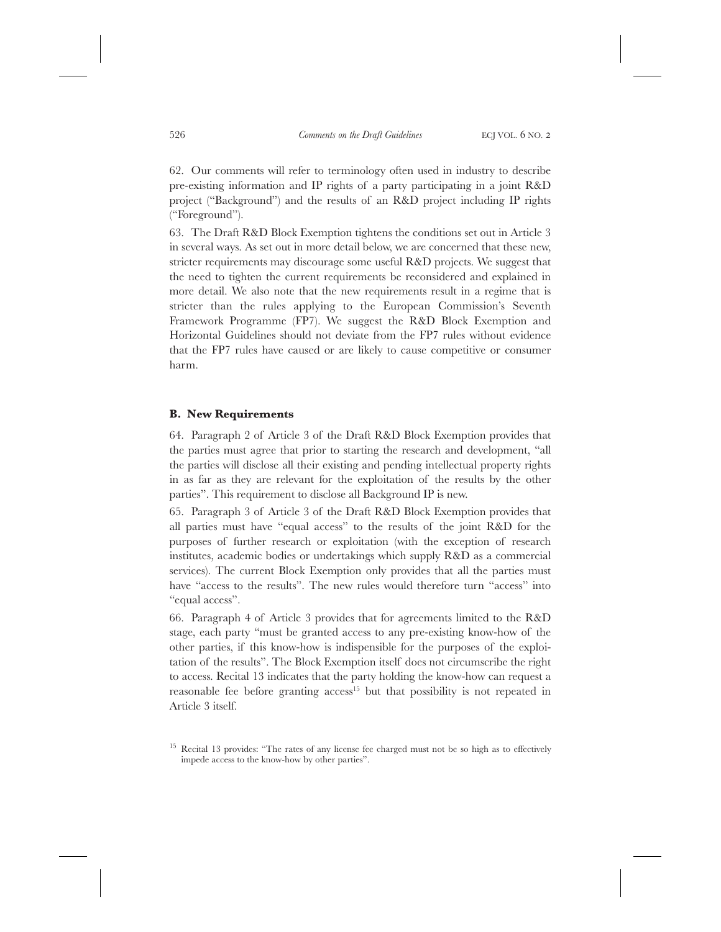62. Our comments will refer to terminology often used in industry to describe pre-existing information and IP rights of a party participating in a joint R&D project ("Background") and the results of an R&D project including IP rights ("Foreground").

63. The Draft R&D Block Exemption tightens the conditions set out in Article 3 in several ways. As set out in more detail below, we are concerned that these new, stricter requirements may discourage some useful R&D projects. We suggest that the need to tighten the current requirements be reconsidered and explained in more detail. We also note that the new requirements result in a regime that is stricter than the rules applying to the European Commission's Seventh Framework Programme (FP7). We suggest the R&D Block Exemption and Horizontal Guidelines should not deviate from the FP7 rules without evidence that the FP7 rules have caused or are likely to cause competitive or consumer harm.

#### **B. New Requirements**

64. Paragraph 2 of Article 3 of the Draft R&D Block Exemption provides that the parties must agree that prior to starting the research and development, "all the parties will disclose all their existing and pending intellectual property rights in as far as they are relevant for the exploitation of the results by the other parties". This requirement to disclose all Background IP is new.

65. Paragraph 3 of Article 3 of the Draft R&D Block Exemption provides that all parties must have "equal access" to the results of the joint R&D for the purposes of further research or exploitation (with the exception of research institutes, academic bodies or undertakings which supply R&D as a commercial services). The current Block Exemption only provides that all the parties must have "access to the results". The new rules would therefore turn "access" into "equal access".

66. Paragraph 4 of Article 3 provides that for agreements limited to the R&D stage, each party "must be granted access to any pre-existing know-how of the other parties, if this know-how is indispensible for the purposes of the exploitation of the results". The Block Exemption itself does not circumscribe the right to access. Recital 13 indicates that the party holding the know-how can request a reasonable fee before granting access<sup>15</sup> but that possibility is not repeated in Article 3 itself.

<sup>&</sup>lt;sup>15</sup> Recital 13 provides: "The rates of any license fee charged must not be so high as to effectively impede access to the know-how by other parties".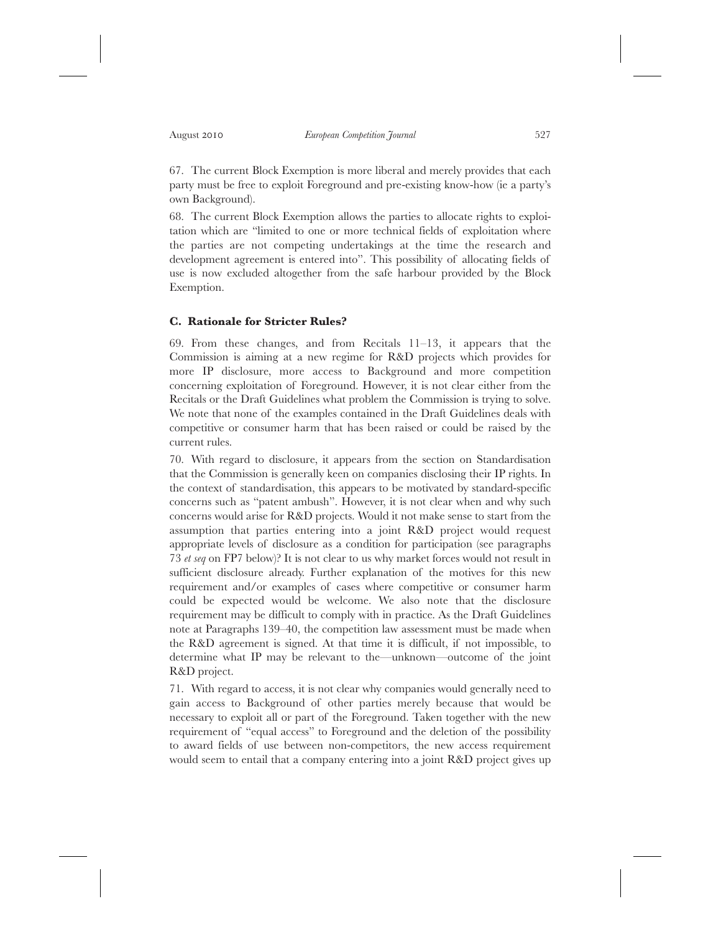67. The current Block Exemption is more liberal and merely provides that each party must be free to exploit Foreground and pre-existing know-how (ie a party's own Background).

68. The current Block Exemption allows the parties to allocate rights to exploitation which are "limited to one or more technical fields of exploitation where the parties are not competing undertakings at the time the research and development agreement is entered into". This possibility of allocating fields of use is now excluded altogether from the safe harbour provided by the Block Exemption.

# **C. Rationale for Stricter Rules?**

69. From these changes, and from Recitals 11–13, it appears that the Commission is aiming at a new regime for R&D projects which provides for more IP disclosure, more access to Background and more competition concerning exploitation of Foreground. However, it is not clear either from the Recitals or the Draft Guidelines what problem the Commission is trying to solve. We note that none of the examples contained in the Draft Guidelines deals with competitive or consumer harm that has been raised or could be raised by the current rules.

70. With regard to disclosure, it appears from the section on Standardisation that the Commission is generally keen on companies disclosing their IP rights. In the context of standardisation, this appears to be motivated by standard-specific concerns such as "patent ambush". However, it is not clear when and why such concerns would arise for R&D projects. Would it not make sense to start from the assumption that parties entering into a joint R&D project would request appropriate levels of disclosure as a condition for participation (see paragraphs 73 *et seq* on FP7 below)? It is not clear to us why market forces would not result in sufficient disclosure already. Further explanation of the motives for this new requirement and/or examples of cases where competitive or consumer harm could be expected would be welcome. We also note that the disclosure requirement may be difficult to comply with in practice. As the Draft Guidelines note at Paragraphs 139–40, the competition law assessment must be made when the R&D agreement is signed. At that time it is difficult, if not impossible, to determine what IP may be relevant to the—unknown—outcome of the joint R&D project.

71. With regard to access, it is not clear why companies would generally need to gain access to Background of other parties merely because that would be necessary to exploit all or part of the Foreground. Taken together with the new requirement of "equal access" to Foreground and the deletion of the possibility to award fields of use between non-competitors, the new access requirement would seem to entail that a company entering into a joint R&D project gives up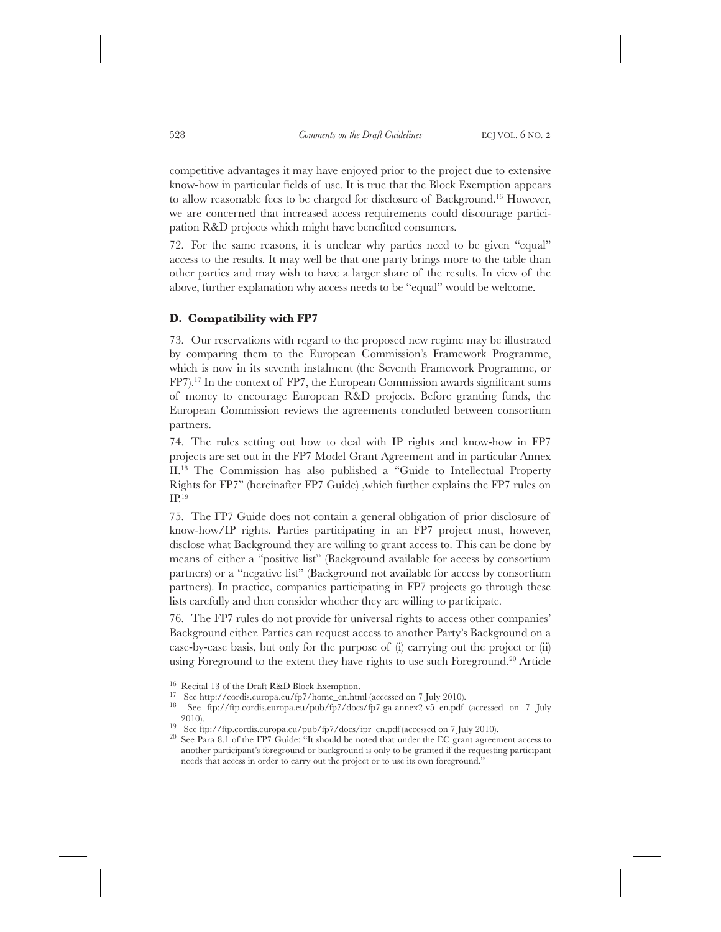competitive advantages it may have enjoyed prior to the project due to extensive know-how in particular fields of use. It is true that the Block Exemption appears to allow reasonable fees to be charged for disclosure of Background.16 However, we are concerned that increased access requirements could discourage participation R&D projects which might have benefited consumers.

72. For the same reasons, it is unclear why parties need to be given "equal" access to the results. It may well be that one party brings more to the table than other parties and may wish to have a larger share of the results. In view of the above, further explanation why access needs to be "equal" would be welcome.

### **D. Compatibility with FP7**

73. Our reservations with regard to the proposed new regime may be illustrated by comparing them to the European Commission's Framework Programme, which is now in its seventh instalment (the Seventh Framework Programme, or FP7).17 In the context of FP7, the European Commission awards significant sums of money to encourage European R&D projects. Before granting funds, the European Commission reviews the agreements concluded between consortium partners.

74. The rules setting out how to deal with IP rights and know-how in FP7 projects are set out in the FP7 Model Grant Agreement and in particular Annex II.18 The Commission has also published a "Guide to Intellectual Property Rights for FP7" (hereinafter FP7 Guide) ,which further explains the FP7 rules on IP.19

75. The FP7 Guide does not contain a general obligation of prior disclosure of know-how/IP rights. Parties participating in an FP7 project must, however, disclose what Background they are willing to grant access to. This can be done by means of either a "positive list" (Background available for access by consortium partners) or a "negative list" (Background not available for access by consortium partners). In practice, companies participating in FP7 projects go through these lists carefully and then consider whether they are willing to participate.

76. The FP7 rules do not provide for universal rights to access other companies' Background either. Parties can request access to another Party's Background on a case-by-case basis, but only for the purpose of (i) carrying out the project or (ii) using Foreground to the extent they have rights to use such Foreground.<sup>20</sup> Article

 $^{16}$  Recital 13 of the Draft R&D Block Exemption.  $^{17}$  See http://cordis.europa.eu/fp7/home\_en.html (accessed on 7 July 2010). 18 See ftp://ftp.cordis.europa.eu/pub/fp7/docs/fp7-ga-annex2-v5\_en.pdf (accessed on 7 July 2010).<br>
<sup>19</sup> See ftp://ftp.cordis.europa.eu/pub/fp7/docs/ipr\_en.pdf (accessed on 7 July 2010).<br>
<sup>20</sup> See Para 8.1 of the FP7 Guide: "It should be noted that under the EC grant agreement access to

another participant's foreground or background is only to be granted if the requesting participant needs that access in order to carry out the project or to use its own foreground."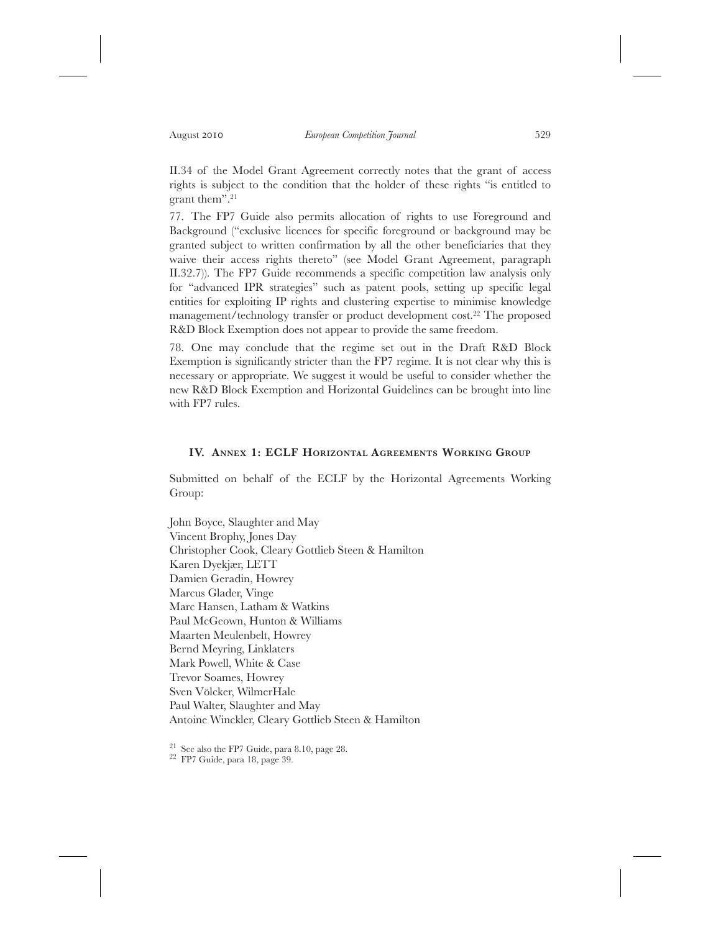II.34 of the Model Grant Agreement correctly notes that the grant of access rights is subject to the condition that the holder of these rights "is entitled to grant them".21

77. The FP7 Guide also permits allocation of rights to use Foreground and Background ("exclusive licences for specific foreground or background may be granted subject to written confirmation by all the other beneficiaries that they waive their access rights thereto" (see Model Grant Agreement, paragraph II.32.7)). The FP7 Guide recommends a specific competition law analysis only for "advanced IPR strategies" such as patent pools, setting up specific legal entities for exploiting IP rights and clustering expertise to minimise knowledge management/technology transfer or product development cost.<sup>22</sup> The proposed R&D Block Exemption does not appear to provide the same freedom.

78. One may conclude that the regime set out in the Draft R&D Block Exemption is significantly stricter than the FP7 regime. It is not clear why this is necessary or appropriate. We suggest it would be useful to consider whether the new R&D Block Exemption and Horizontal Guidelines can be brought into line with FP7 rules.

# **IV. ANNEX 1: ECLF HORIZONTAL AGREEMENTS WORKING GROUP**

Submitted on behalf of the ECLF by the Horizontal Agreements Working Group:

John Boyce, Slaughter and May Vincent Brophy, Jones Day Christopher Cook, Cleary Gottlieb Steen & Hamilton Karen Dyekjær, LETT Damien Geradin, Howrey Marcus Glader, Vinge Marc Hansen, Latham & Watkins Paul McGeown, Hunton & Williams Maarten Meulenbelt, Howrey Bernd Meyring, Linklaters Mark Powell, White & Case Trevor Soames, Howrey Sven Völcker, WilmerHale Paul Walter, Slaughter and May Antoine Winckler, Cleary Gottlieb Steen & Hamilton

<sup>21</sup> See also the FP7 Guide, para 8.10, page 28.<br><sup>22</sup> FP7 Guide, para 18, page 39.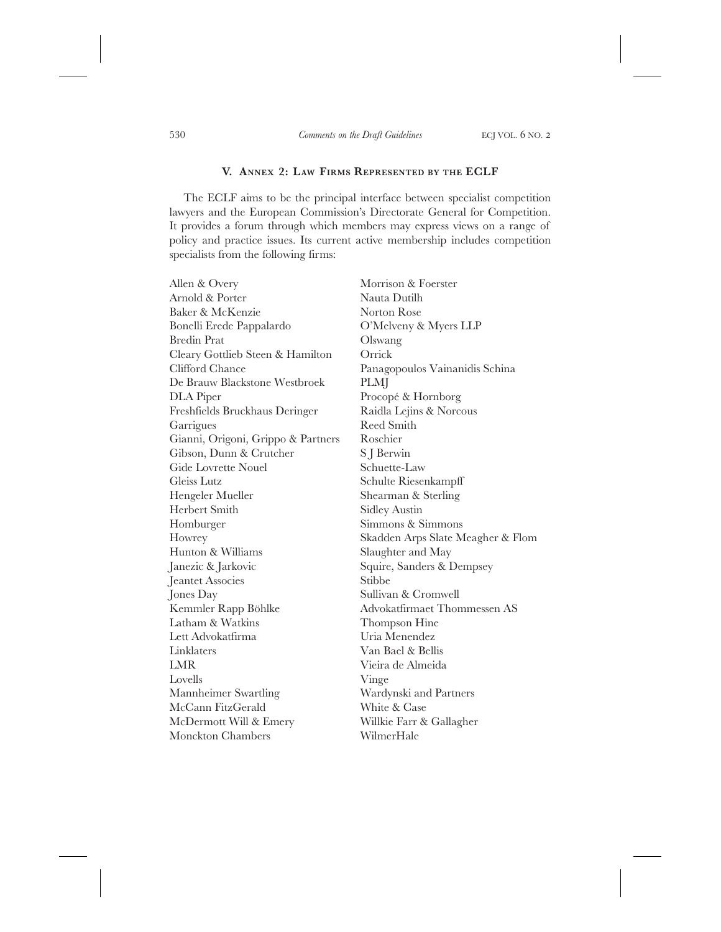# **V. ANNEX 2: LAW FIRMS REPRESENTED BY THE ECLF**

The ECLF aims to be the principal interface between specialist competition lawyers and the European Commission's Directorate General for Competition. It provides a forum through which members may express views on a range of policy and practice issues. Its current active membership includes competition specialists from the following firms:

| Allen & Overy                      | Morrison & Foerster               |
|------------------------------------|-----------------------------------|
| Arnold & Porter                    | Nauta Dutilh                      |
| Baker & McKenzie                   | Norton Rose                       |
| Bonelli Erede Pappalardo           | O'Melveny & Myers LLP             |
| <b>Bredin Prat</b>                 | Olswang                           |
| Cleary Gottlieb Steen & Hamilton   | Orrick                            |
| Clifford Chance                    | Panagopoulos Vainanidis Schina    |
| De Brauw Blackstone Westbroek      | PLMJ                              |
| <b>DLA</b> Piper                   | Procopé & Hornborg                |
| Freshfields Bruckhaus Deringer     | Raidla Lejins & Norcous           |
| Garrigues                          | Reed Smith                        |
| Gianni, Origoni, Grippo & Partners | Roschier                          |
| Gibson, Dunn & Crutcher            | SJ Berwin                         |
| Gide Lovrette Nouel                | Schuette-Law                      |
| Gleiss Lutz                        | Schulte Riesenkampff              |
| Hengeler Mueller                   | Shearman & Sterling               |
| Herbert Smith                      | <b>Sidley Austin</b>              |
| Homburger                          | Simmons & Simmons                 |
| Howrey                             | Skadden Arps Slate Meagher & Flom |
| Hunton & Williams                  | Slaughter and May                 |
| Janezic & Jarkovic                 | Squire, Sanders & Dempsey         |
| Jeantet Associes                   | Stibbe                            |
| Jones Day                          | Sullivan & Cromwell               |
| Kemmler Rapp Böhlke                | Advokatfirmaet Thommessen AS      |
| Latham & Watkins                   | <b>Thompson Hine</b>              |
| Lett Advokatfirma                  | Uria Menendez                     |
| Linklaters                         | Van Bael & Bellis                 |
| <b>LMR</b>                         | Vieira de Almeida                 |
| Lovells                            | Vinge                             |
| Mannheimer Swartling               | Wardynski and Partners            |
| McCann FitzGerald                  | White & Case                      |
| McDermott Will & Emery             | Willkie Farr & Gallagher          |
| Monckton Chambers                  | WilmerHale                        |
|                                    |                                   |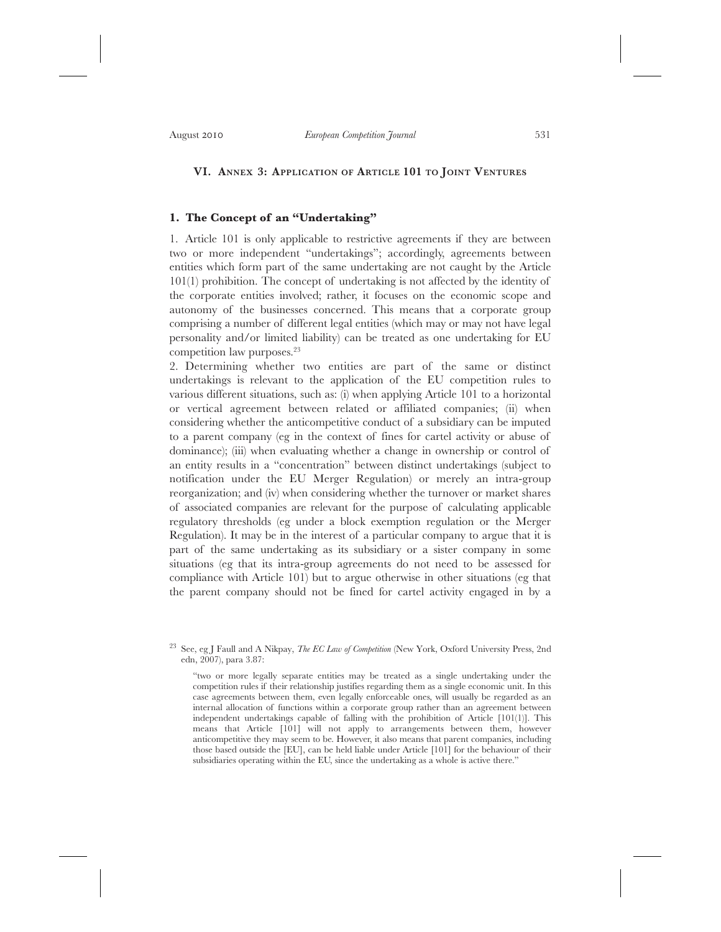# **VI. ANNEX 3: APPLICATION OF ARTICLE 101 TO JOINT VENTURES**

### **1. The Concept of an "Undertaking"**

1. Article 101 is only applicable to restrictive agreements if they are between two or more independent "undertakings"; accordingly, agreements between entities which form part of the same undertaking are not caught by the Article 101(1) prohibition. The concept of undertaking is not affected by the identity of the corporate entities involved; rather, it focuses on the economic scope and autonomy of the businesses concerned. This means that a corporate group comprising a number of different legal entities (which may or may not have legal personality and/or limited liability) can be treated as one undertaking for EU competition law purposes.23

2. Determining whether two entities are part of the same or distinct undertakings is relevant to the application of the EU competition rules to various different situations, such as: (i) when applying Article 101 to a horizontal or vertical agreement between related or affiliated companies; (ii) when considering whether the anticompetitive conduct of a subsidiary can be imputed to a parent company (eg in the context of fines for cartel activity or abuse of dominance); (iii) when evaluating whether a change in ownership or control of an entity results in a "concentration" between distinct undertakings (subject to notification under the EU Merger Regulation) or merely an intra-group reorganization; and (iv) when considering whether the turnover or market shares of associated companies are relevant for the purpose of calculating applicable regulatory thresholds (eg under a block exemption regulation or the Merger Regulation). It may be in the interest of a particular company to argue that it is part of the same undertaking as its subsidiary or a sister company in some situations (eg that its intra-group agreements do not need to be assessed for compliance with Article 101) but to argue otherwise in other situations (eg that the parent company should not be fined for cartel activity engaged in by a

<sup>23</sup> See, eg J Faull and A Nikpay, *The EC Law of Competition* (New York, Oxford University Press, 2nd edn, 2007), para 3.87:

<sup>&</sup>quot;two or more legally separate entities may be treated as a single undertaking under the competition rules if their relationship justifies regarding them as a single economic unit. In this case agreements between them, even legally enforceable ones, will usually be regarded as an internal allocation of functions within a corporate group rather than an agreement between independent undertakings capable of falling with the prohibition of Article [101(1)]. This means that Article [101] will not apply to arrangements between them, however anticompetitive they may seem to be. However, it also means that parent companies, including those based outside the [EU], can be held liable under Article [101] for the behaviour of their subsidiaries operating within the EU, since the undertaking as a whole is active there."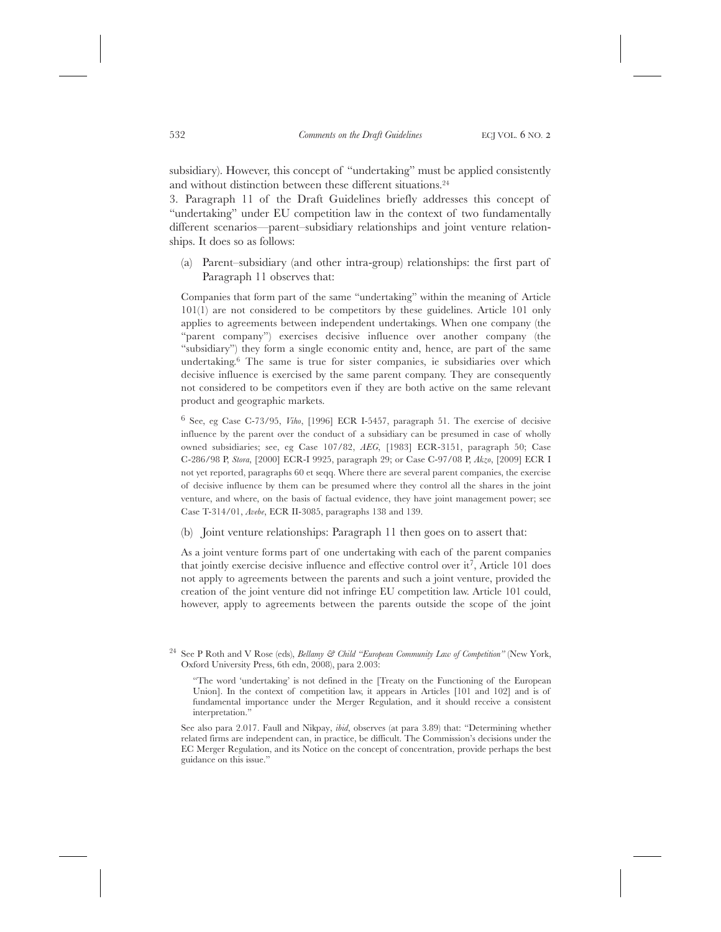subsidiary). However, this concept of "undertaking" must be applied consistently and without distinction between these different situations.<sup>24</sup>

3. Paragraph 11 of the Draft Guidelines briefly addresses this concept of "undertaking" under EU competition law in the context of two fundamentally different scenarios—parent–subsidiary relationships and joint venture relationships. It does so as follows:

(a) Parent–subsidiary (and other intra-group) relationships: the first part of Paragraph 11 observes that:

Companies that form part of the same "undertaking" within the meaning of Article 101(1) are not considered to be competitors by these guidelines. Article 101 only applies to agreements between independent undertakings. When one company (the "parent company") exercises decisive influence over another company (the "subsidiary") they form a single economic entity and, hence, are part of the same undertaking.6 The same is true for sister companies, ie subsidiaries over which decisive influence is exercised by the same parent company. They are consequently not considered to be competitors even if they are both active on the same relevant product and geographic markets.

6 See, eg Case C-73/95, *Viho*, [1996] ECR I-5457, paragraph 51. The exercise of decisive influence by the parent over the conduct of a subsidiary can be presumed in case of wholly owned subsidiaries; see, eg Case 107/82, *AEG*, [1983] ECR-3151, paragraph 50; Case C-286/98 P, *Stora*, [2000] ECR-I 9925, paragraph 29; or Case C-97/08 P, *Akzo*, [2009] ECR I not yet reported, paragraphs 60 et seqq. Where there are several parent companies, the exercise of decisive influence by them can be presumed where they control all the shares in the joint venture, and where, on the basis of factual evidence, they have joint management power; see Case T-314/01, *Avebe*, ECR II-3085, paragraphs 138 and 139.

(b) Joint venture relationships: Paragraph 11 then goes on to assert that:

As a joint venture forms part of one undertaking with each of the parent companies that jointly exercise decisive influence and effective control over it<sup>7</sup>, Article 101 does not apply to agreements between the parents and such a joint venture, provided the creation of the joint venture did not infringe EU competition law. Article 101 could, however, apply to agreements between the parents outside the scope of the joint

<sup>24</sup> See P Roth and V Rose (eds), *Bellamy & Child "European Community Law of Competition"* (New York, Oxford University Press, 6th edn, 2008), para 2.003:

<sup>&</sup>quot;The word 'undertaking' is not defined in the [Treaty on the Functioning of the European Union]. In the context of competition law, it appears in Articles [101 and 102] and is of fundamental importance under the Merger Regulation, and it should receive a consistent interpretation."

See also para 2.017. Faull and Nikpay, *ibid*, observes (at para 3.89) that: "Determining whether related firms are independent can, in practice, be difficult. The Commission's decisions under the EC Merger Regulation, and its Notice on the concept of concentration, provide perhaps the best guidance on this issue."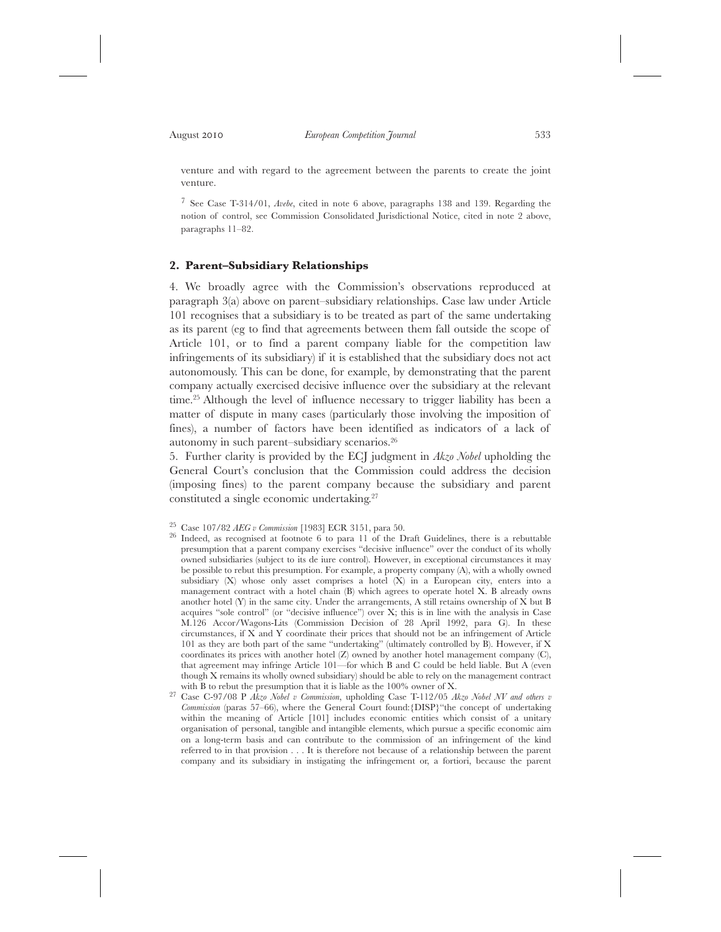venture and with regard to the agreement between the parents to create the joint venture.

7 See Case T-314/01, *Avebe*, cited in note 6 above, paragraphs 138 and 139. Regarding the notion of control, see Commission Consolidated Jurisdictional Notice, cited in note 2 above, paragraphs 11–82.

### **2. Parent–Subsidiary Relationships**

4. We broadly agree with the Commission's observations reproduced at paragraph 3(a) above on parent–subsidiary relationships. Case law under Article 101 recognises that a subsidiary is to be treated as part of the same undertaking as its parent (eg to find that agreements between them fall outside the scope of Article 101, or to find a parent company liable for the competition law infringements of its subsidiary) if it is established that the subsidiary does not act autonomously. This can be done, for example, by demonstrating that the parent company actually exercised decisive influence over the subsidiary at the relevant time.<sup>25</sup> Although the level of influence necessary to trigger liability has been a matter of dispute in many cases (particularly those involving the imposition of fines), a number of factors have been identified as indicators of a lack of autonomy in such parent–subsidiary scenarios.26

5. Further clarity is provided by the ECJ judgment in *Akzo Nobel* upholding the General Court's conclusion that the Commission could address the decision (imposing fines) to the parent company because the subsidiary and parent constituted a single economic undertaking.27

- <sup>25</sup> Case 107/82 *AEG v Commission* [1983] ECR 3151, para 50. <sup>26</sup> Indeed, as recognised at footnote 6 to para 11 of the Draft Guidelines, there is a rebuttable presumption that a parent company exercises "decisive influence" over the conduct of its wholly owned subsidiaries (subject to its de iure control). However, in exceptional circumstances it may be possible to rebut this presumption. For example, a property company (A), with a wholly owned subsidiary (X) whose only asset comprises a hotel (X) in a European city, enters into a management contract with a hotel chain (B) which agrees to operate hotel X. B already owns another hotel  $(Y)$  in the same city. Under the arrangements, A still retains ownership of  $X$  but B acquires "sole control" (or "decisive influence") over X; this is in line with the analysis in Case M.126 Accor/Wagons-Lits (Commission Decision of 28 April 1992, para G). In these circumstances, if X and Y coordinate their prices that should not be an infringement of Article 101 as they are both part of the same "undertaking" (ultimately controlled by B). However, if X coordinates its prices with another hotel (Z) owned by another hotel management company (C), that agreement may infringe Article 101—for which B and C could be held liable. But A (even though X remains its wholly owned subsidiary) should be able to rely on the management contract
- with B to rebut the presumption that it is liable as the 100% owner of X. <sup>27</sup> Case C-97/08 P *Akzo Nobel v Commission*, upholding Case T-112/05 *Akzo Nobel NV and others v Commission* (paras 57–66), where the General Court found: {DISP} "the concept of undertaking within the meaning of Article [101] includes economic entities which consist of a unitary organisation of personal, tangible and intangible elements, which pursue a specific economic aim on a long-term basis and can contribute to the commission of an infringement of the kind referred to in that provision . . . It is therefore not because of a relationship between the parent company and its subsidiary in instigating the infringement or, a fortiori, because the parent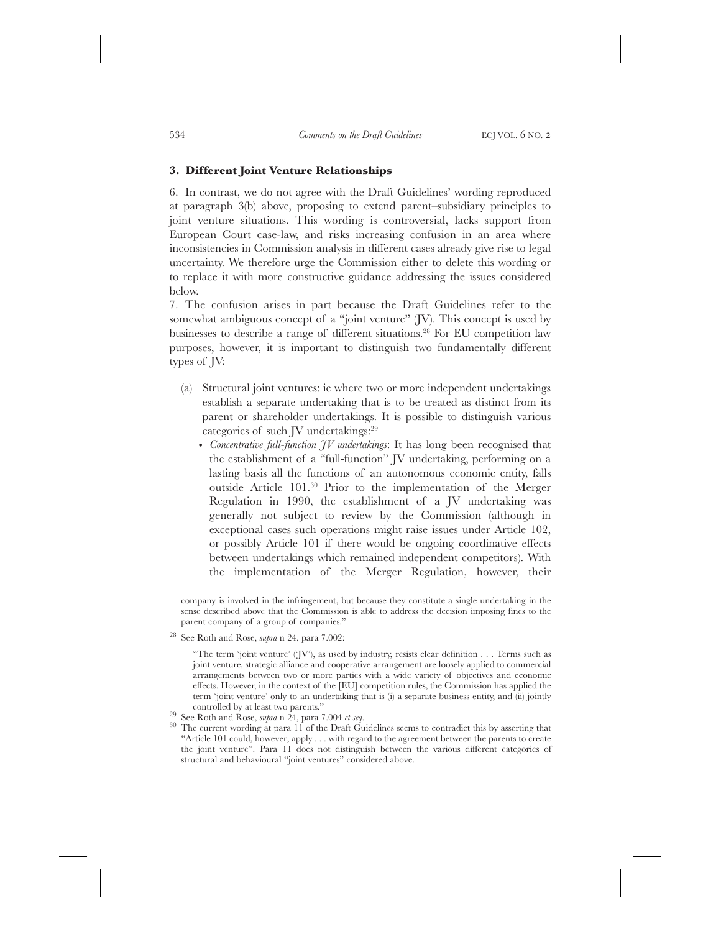### **3. Different Joint Venture Relationships**

6. In contrast, we do not agree with the Draft Guidelines' wording reproduced at paragraph 3(b) above, proposing to extend parent–subsidiary principles to joint venture situations. This wording is controversial, lacks support from European Court case-law, and risks increasing confusion in an area where inconsistencies in Commission analysis in different cases already give rise to legal uncertainty. We therefore urge the Commission either to delete this wording or to replace it with more constructive guidance addressing the issues considered below.

7. The confusion arises in part because the Draft Guidelines refer to the somewhat ambiguous concept of a "joint venture" (JV). This concept is used by businesses to describe a range of different situations.28 For EU competition law purposes, however, it is important to distinguish two fundamentally different types of JV:

- (a) Structural joint ventures: ie where two or more independent undertakings establish a separate undertaking that is to be treated as distinct from its parent or shareholder undertakings. It is possible to distinguish various categories of such JV undertakings:29
	- . *Concentrative full-function JV undertakings*: It has long been recognised that the establishment of a "full-function" JV undertaking, performing on a lasting basis all the functions of an autonomous economic entity, falls outside Article 101.30 Prior to the implementation of the Merger Regulation in 1990, the establishment of a JV undertaking was generally not subject to review by the Commission (although in exceptional cases such operations might raise issues under Article 102, or possibly Article 101 if there would be ongoing coordinative effects between undertakings which remained independent competitors). With the implementation of the Merger Regulation, however, their

company is involved in the infringement, but because they constitute a single undertaking in the sense described above that the Commission is able to address the decision imposing fines to the parent company of a group of companies."

<sup>28</sup> See Roth and Rose, *supra* n 24, para 7.002:

"The term 'joint venture' ('JV'), as used by industry, resists clear definition . . . Terms such as joint venture, strategic alliance and cooperative arrangement are loosely applied to commercial arrangements between two or more parties with a wide variety of objectives and economic effects. However, in the context of the [EU] competition rules, the Commission has applied the term 'joint venture' only to an undertaking that is (i) a separate business entity, and (ii) jointly

- 
- <sup>29</sup> See Roth and Rose, *supra* n 24, para 7.004 *et seq.*  $\frac{30}{100}$  The current wording at para 11 of the Draft Guidelines seems to contradict this by asserting that "Article 101 could, however, apply . . . with regard to the agreement between the parents to create the joint venture". Para 11 does not distinguish between the various different categories of structural and behavioural "joint ventures" considered above.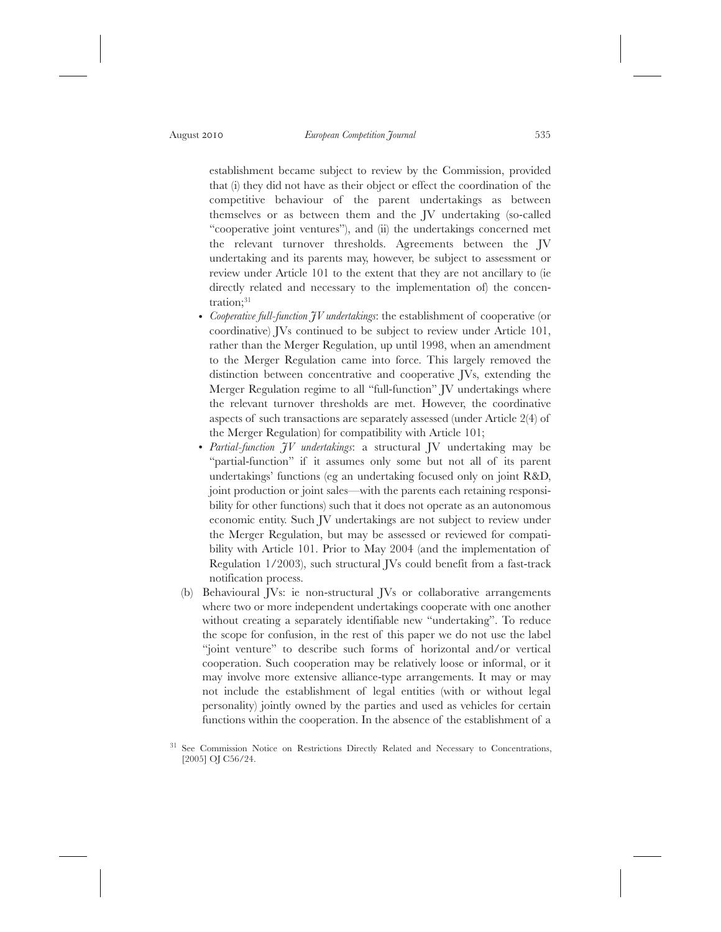establishment became subject to review by the Commission, provided that (i) they did not have as their object or effect the coordination of the competitive behaviour of the parent undertakings as between themselves or as between them and the JV undertaking (so-called "cooperative joint ventures"), and (ii) the undertakings concerned met the relevant turnover thresholds. Agreements between the JV undertaking and its parents may, however, be subject to assessment or review under Article 101 to the extent that they are not ancillary to (ie directly related and necessary to the implementation of) the concentration;<sup>31</sup>

- . *Cooperative full-function JV undertakings*: the establishment of cooperative (or coordinative) JVs continued to be subject to review under Article 101, rather than the Merger Regulation, up until 1998, when an amendment to the Merger Regulation came into force. This largely removed the distinction between concentrative and cooperative JVs, extending the Merger Regulation regime to all "full-function" IV undertakings where the relevant turnover thresholds are met. However, the coordinative aspects of such transactions are separately assessed (under Article 2(4) of the Merger Regulation) for compatibility with Article 101;
- . *Partial-function JV undertakings*: a structural JV undertaking may be "partial-function" if it assumes only some but not all of its parent undertakings' functions (eg an undertaking focused only on joint R&D, joint production or joint sales—with the parents each retaining responsibility for other functions) such that it does not operate as an autonomous economic entity. Such JV undertakings are not subject to review under the Merger Regulation, but may be assessed or reviewed for compatibility with Article 101. Prior to May 2004 (and the implementation of Regulation 1/2003), such structural JVs could benefit from a fast-track notification process.
- (b) Behavioural JVs: ie non-structural JVs or collaborative arrangements where two or more independent undertakings cooperate with one another without creating a separately identifiable new "undertaking". To reduce the scope for confusion, in the rest of this paper we do not use the label "joint venture" to describe such forms of horizontal and/or vertical cooperation. Such cooperation may be relatively loose or informal, or it may involve more extensive alliance-type arrangements. It may or may not include the establishment of legal entities (with or without legal personality) jointly owned by the parties and used as vehicles for certain functions within the cooperation. In the absence of the establishment of a

<sup>&</sup>lt;sup>31</sup> See Commission Notice on Restrictions Directly Related and Necessary to Concentrations, [2005] OJ C56/24.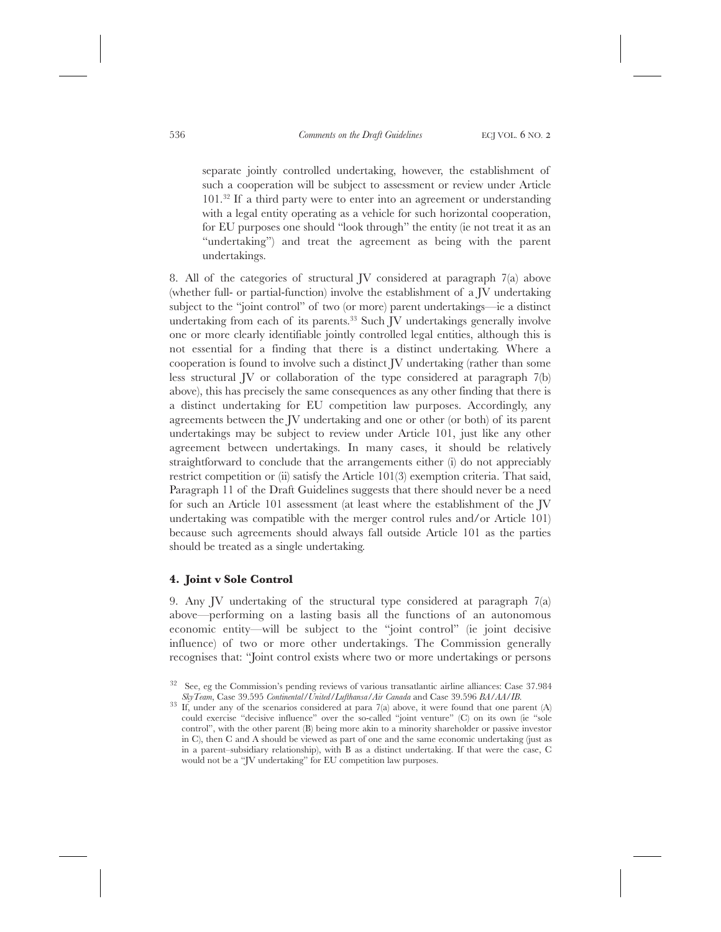separate jointly controlled undertaking, however, the establishment of such a cooperation will be subject to assessment or review under Article 101.32 If a third party were to enter into an agreement or understanding with a legal entity operating as a vehicle for such horizontal cooperation, for EU purposes one should "look through" the entity (ie not treat it as an "undertaking") and treat the agreement as being with the parent undertakings.

8. All of the categories of structural JV considered at paragraph 7(a) above (whether full- or partial-function) involve the establishment of a JV undertaking subject to the "joint control" of two (or more) parent undertakings—ie a distinct undertaking from each of its parents.<sup>33</sup> Such JV undertakings generally involve one or more clearly identifiable jointly controlled legal entities, although this is not essential for a finding that there is a distinct undertaking. Where a cooperation is found to involve such a distinct JV undertaking (rather than some less structural JV or collaboration of the type considered at paragraph 7(b) above), this has precisely the same consequences as any other finding that there is a distinct undertaking for EU competition law purposes. Accordingly, any agreements between the JV undertaking and one or other (or both) of its parent undertakings may be subject to review under Article 101, just like any other agreement between undertakings. In many cases, it should be relatively straightforward to conclude that the arrangements either (i) do not appreciably restrict competition or (ii) satisfy the Article 101(3) exemption criteria. That said, Paragraph 11 of the Draft Guidelines suggests that there should never be a need for such an Article 101 assessment (at least where the establishment of the JV undertaking was compatible with the merger control rules and/or Article 101) because such agreements should always fall outside Article 101 as the parties should be treated as a single undertaking.

### **4. Joint v Sole Control**

9. Any JV undertaking of the structural type considered at paragraph 7(a) above—performing on a lasting basis all the functions of an autonomous economic entity—will be subject to the "joint control" (ie joint decisive influence) of two or more other undertakings. The Commission generally recognises that: "Joint control exists where two or more undertakings or persons

<sup>&</sup>lt;sup>32</sup> See, eg the Commission's pending reviews of various transatlantic airline alliances: Case 37.984 SkyTeam, Case 39.595 Continental/United/Lufthansa/Air Canada and Case 39.596 BA/AA/IB.

<sup>&</sup>lt;sup>33</sup> If, under any of the scenarios considered at para 7(a) above, it were found that one parent (A) could exercise "decisive influence" over the so-called "joint venture" (C) on its own (ie "sole control", with the other parent (B) being more akin to a minority shareholder or passive investor in C), then C and A should be viewed as part of one and the same economic undertaking (just as in a parent–subsidiary relationship), with B as a distinct undertaking. If that were the case, C would not be a "JV undertaking" for EU competition law purposes.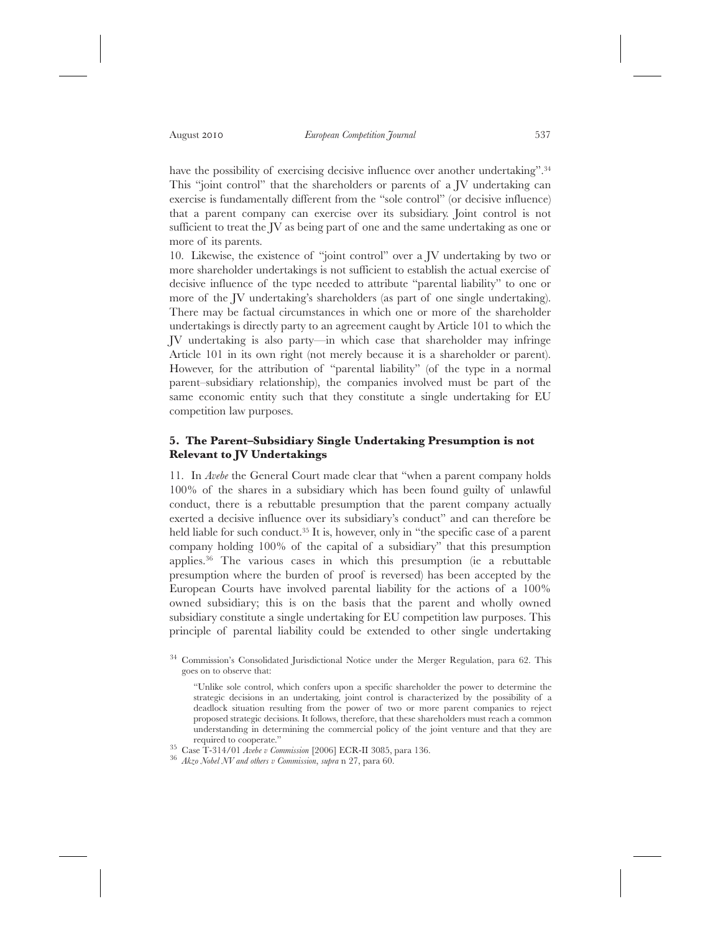have the possibility of exercising decisive influence over another undertaking".<sup>34</sup> This "joint control" that the shareholders or parents of a JV undertaking can exercise is fundamentally different from the "sole control" (or decisive influence) that a parent company can exercise over its subsidiary. Joint control is not sufficient to treat the JV as being part of one and the same undertaking as one or more of its parents.

10. Likewise, the existence of "joint control" over a JV undertaking by two or more shareholder undertakings is not sufficient to establish the actual exercise of decisive influence of the type needed to attribute "parental liability" to one or more of the JV undertaking's shareholders (as part of one single undertaking). There may be factual circumstances in which one or more of the shareholder undertakings is directly party to an agreement caught by Article 101 to which the JV undertaking is also party—in which case that shareholder may infringe Article 101 in its own right (not merely because it is a shareholder or parent). However, for the attribution of "parental liability" (of the type in a normal parent–subsidiary relationship), the companies involved must be part of the same economic entity such that they constitute a single undertaking for EU competition law purposes.

# **5. The Parent–Subsidiary Single Undertaking Presumption is not Relevant to JV Undertakings**

11. In *Avebe* the General Court made clear that "when a parent company holds 100% of the shares in a subsidiary which has been found guilty of unlawful conduct, there is a rebuttable presumption that the parent company actually exerted a decisive influence over its subsidiary's conduct" and can therefore be held liable for such conduct.<sup>35</sup> It is, however, only in "the specific case of a parent company holding 100% of the capital of a subsidiary" that this presumption applies.36 The various cases in which this presumption (ie a rebuttable presumption where the burden of proof is reversed) has been accepted by the European Courts have involved parental liability for the actions of a 100% owned subsidiary; this is on the basis that the parent and wholly owned subsidiary constitute a single undertaking for EU competition law purposes. This principle of parental liability could be extended to other single undertaking

<sup>34</sup> Commission's Consolidated Jurisdictional Notice under the Merger Regulation, para 62. This goes on to observe that:

<sup>&</sup>quot;Unlike sole control, which confers upon a specific shareholder the power to determine the strategic decisions in an undertaking, joint control is characterized by the possibility of a deadlock situation resulting from the power of two or more parent companies to reject proposed strategic decisions. It follows, therefore, that these shareholders must reach a common understanding in determining the commercial policy of the joint venture and that they are

required to cooperate." <sup>35</sup> Case T-314/01 *Avebe v Commission* [2006] ECR-II 3085, para 136. <sup>36</sup> *Akzo Nobel NV and others v Commission*, *supra* n 27, para 60.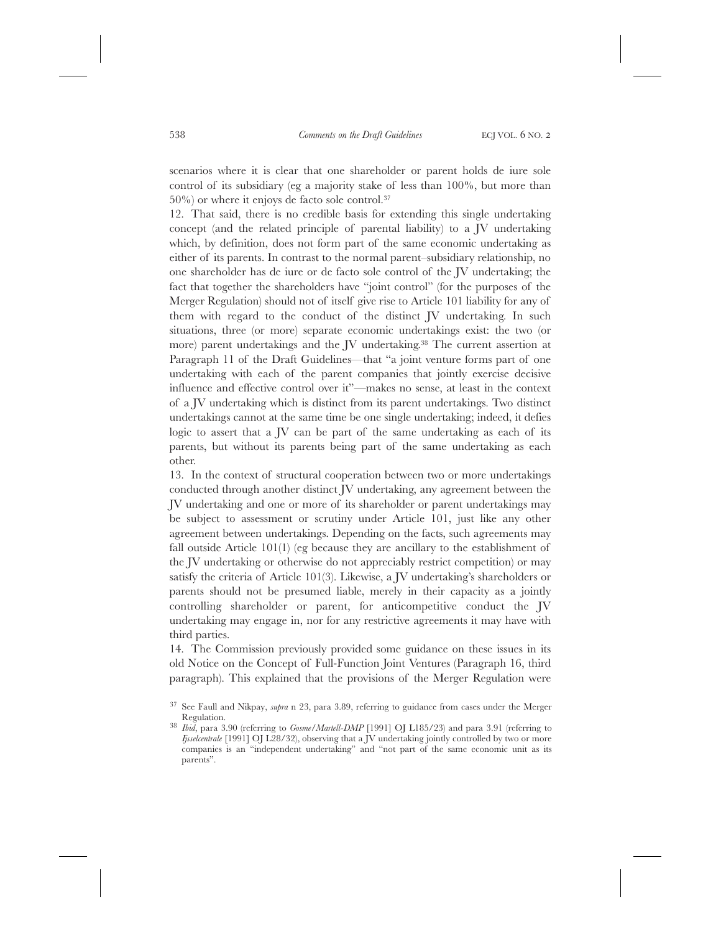scenarios where it is clear that one shareholder or parent holds de iure sole control of its subsidiary (eg a majority stake of less than 100%, but more than 50%) or where it enjoys de facto sole control.37

12. That said, there is no credible basis for extending this single undertaking concept (and the related principle of parental liability) to a JV undertaking which, by definition, does not form part of the same economic undertaking as either of its parents. In contrast to the normal parent–subsidiary relationship, no one shareholder has de iure or de facto sole control of the JV undertaking; the fact that together the shareholders have "joint control" (for the purposes of the Merger Regulation) should not of itself give rise to Article 101 liability for any of them with regard to the conduct of the distinct JV undertaking. In such situations, three (or more) separate economic undertakings exist: the two (or more) parent undertakings and the  $\bar{N}$  undertaking.<sup>38</sup> The current assertion at Paragraph 11 of the Draft Guidelines—that "a joint venture forms part of one undertaking with each of the parent companies that jointly exercise decisive influence and effective control over it"—makes no sense, at least in the context of a JV undertaking which is distinct from its parent undertakings. Two distinct undertakings cannot at the same time be one single undertaking; indeed, it defies logic to assert that a JV can be part of the same undertaking as each of its parents, but without its parents being part of the same undertaking as each other.

13. In the context of structural cooperation between two or more undertakings conducted through another distinct JV undertaking, any agreement between the JV undertaking and one or more of its shareholder or parent undertakings may be subject to assessment or scrutiny under Article 101, just like any other agreement between undertakings. Depending on the facts, such agreements may fall outside Article 101(1) (eg because they are ancillary to the establishment of the JV undertaking or otherwise do not appreciably restrict competition) or may satisfy the criteria of Article 101(3). Likewise, a JV undertaking's shareholders or parents should not be presumed liable, merely in their capacity as a jointly controlling shareholder or parent, for anticompetitive conduct the JV undertaking may engage in, nor for any restrictive agreements it may have with third parties.

14. The Commission previously provided some guidance on these issues in its old Notice on the Concept of Full-Function Joint Ventures (Paragraph 16, third paragraph). This explained that the provisions of the Merger Regulation were

<sup>37</sup> See Faull and Nikpay, *supra* n 23, para 3.89, referring to guidance from cases under the Merger Regulation. <sup>38</sup> *Ibid*, para 3.90 (referring to *Gosme/Martell-DMP* [1991] OJ L185/23) and para 3.91 (referring to

*Ijsselcentrale* [1991] OJ L28/32), observing that a JV undertaking jointly controlled by two or more companies is an "independent undertaking" and "not part of the same economic unit as its parents".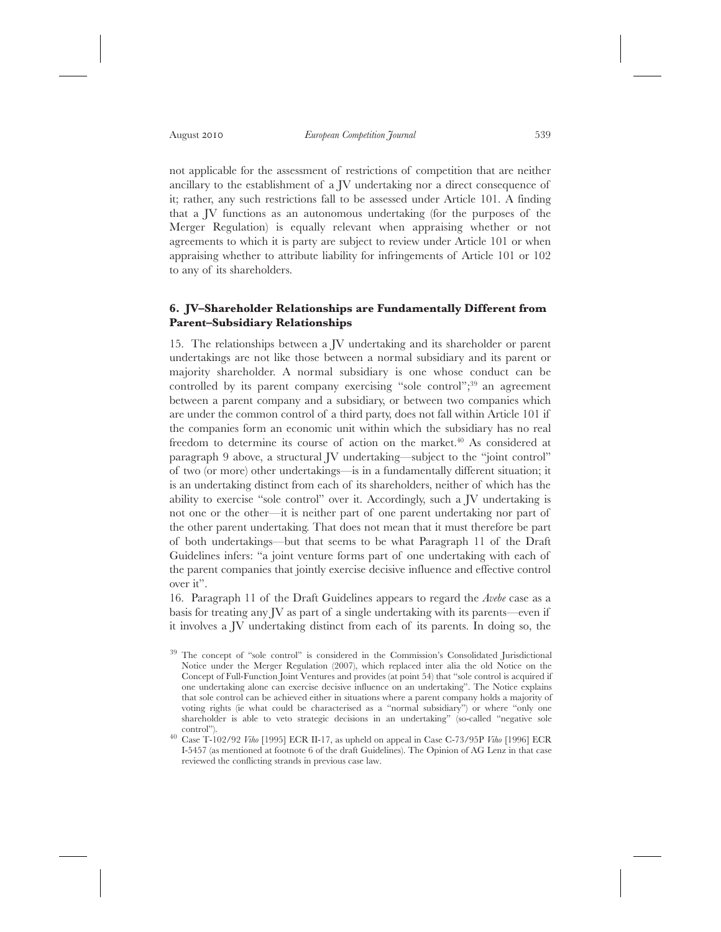not applicable for the assessment of restrictions of competition that are neither ancillary to the establishment of a JV undertaking nor a direct consequence of it; rather, any such restrictions fall to be assessed under Article 101. A finding that a JV functions as an autonomous undertaking (for the purposes of the Merger Regulation) is equally relevant when appraising whether or not agreements to which it is party are subject to review under Article 101 or when appraising whether to attribute liability for infringements of Article 101 or 102 to any of its shareholders.

# **6. JV–Shareholder Relationships are Fundamentally Different from Parent–Subsidiary Relationships**

15. The relationships between a JV undertaking and its shareholder or parent undertakings are not like those between a normal subsidiary and its parent or majority shareholder. A normal subsidiary is one whose conduct can be controlled by its parent company exercising "sole control";<sup>39</sup> an agreement between a parent company and a subsidiary, or between two companies which are under the common control of a third party, does not fall within Article 101 if the companies form an economic unit within which the subsidiary has no real freedom to determine its course of action on the market.<sup>40</sup> As considered at paragraph 9 above, a structural JV undertaking—subject to the "joint control" of two (or more) other undertakings—is in a fundamentally different situation; it is an undertaking distinct from each of its shareholders, neither of which has the ability to exercise "sole control" over it. Accordingly, such a JV undertaking is not one or the other—it is neither part of one parent undertaking nor part of the other parent undertaking. That does not mean that it must therefore be part of both undertakings—but that seems to be what Paragraph 11 of the Draft Guidelines infers: "a joint venture forms part of one undertaking with each of the parent companies that jointly exercise decisive influence and effective control over it".

16. Paragraph 11 of the Draft Guidelines appears to regard the *Avebe* case as a basis for treating any JV as part of a single undertaking with its parents—even if it involves a JV undertaking distinct from each of its parents. In doing so, the

<sup>&</sup>lt;sup>39</sup> The concept of "sole control" is considered in the Commission's Consolidated Jurisdictional Notice under the Merger Regulation (2007), which replaced inter alia the old Notice on the Concept of Full-Function Joint Ventures and provides (at point 54) that "sole control is acquired if one undertaking alone can exercise decisive influence on an undertaking". The Notice explains that sole control can be achieved either in situations where a parent company holds a majority of voting rights (ie what could be characterised as a "normal subsidiary") or where "only one shareholder is able to veto strategic decisions in an undertaking" (so-called "negative sole

control"). <sup>40</sup> Case T-102/92 *Viho* [1995] ECR II-17, as upheld on appeal in Case C-73/95P *Viho* [1996] ECR I-5457 (as mentioned at footnote 6 of the draft Guidelines). The Opinion of AG Lenz in that case reviewed the conflicting strands in previous case law.